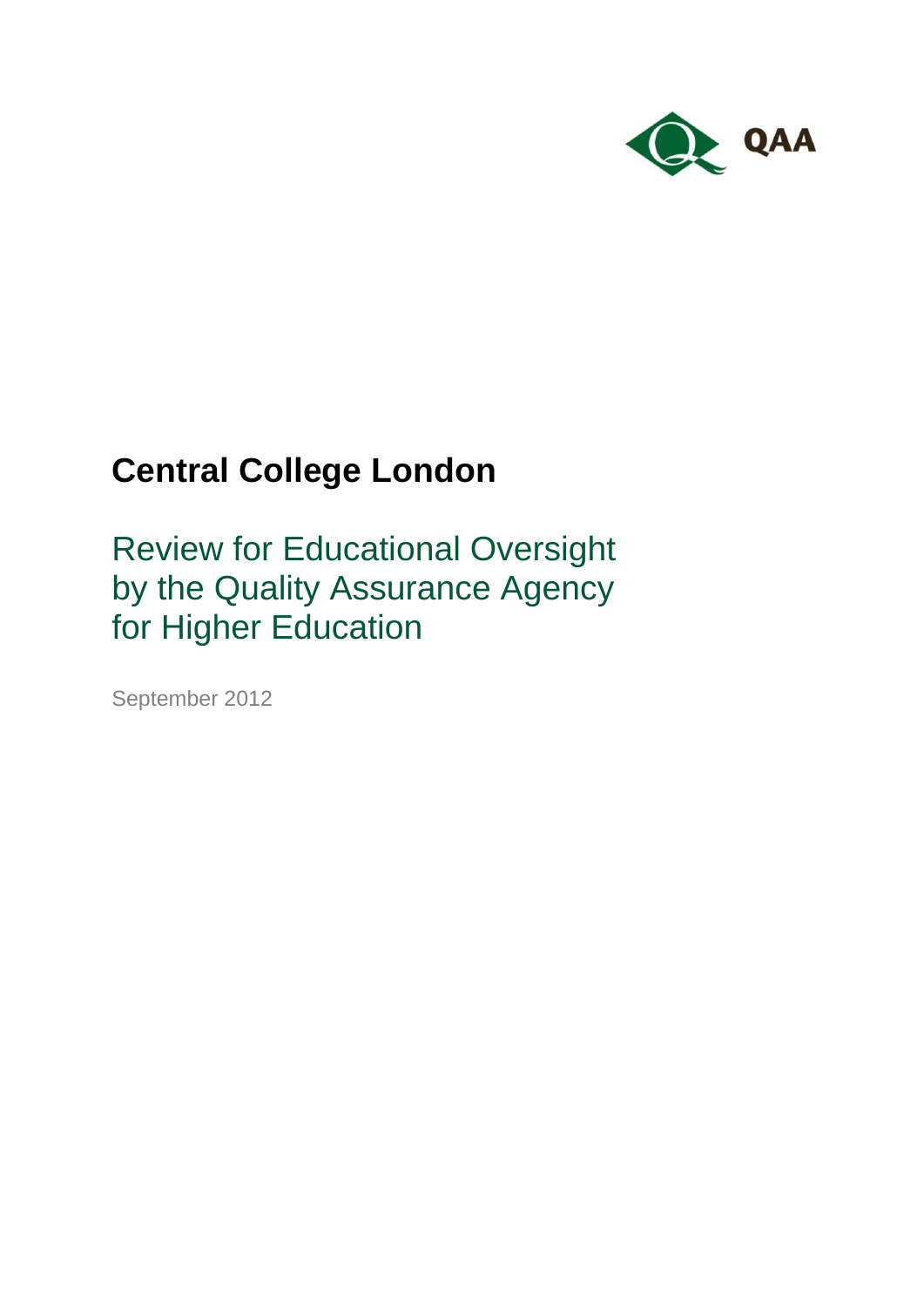

# **Central College London**

Review for Educational Oversight by the Quality Assurance Agency for Higher Education

September 2012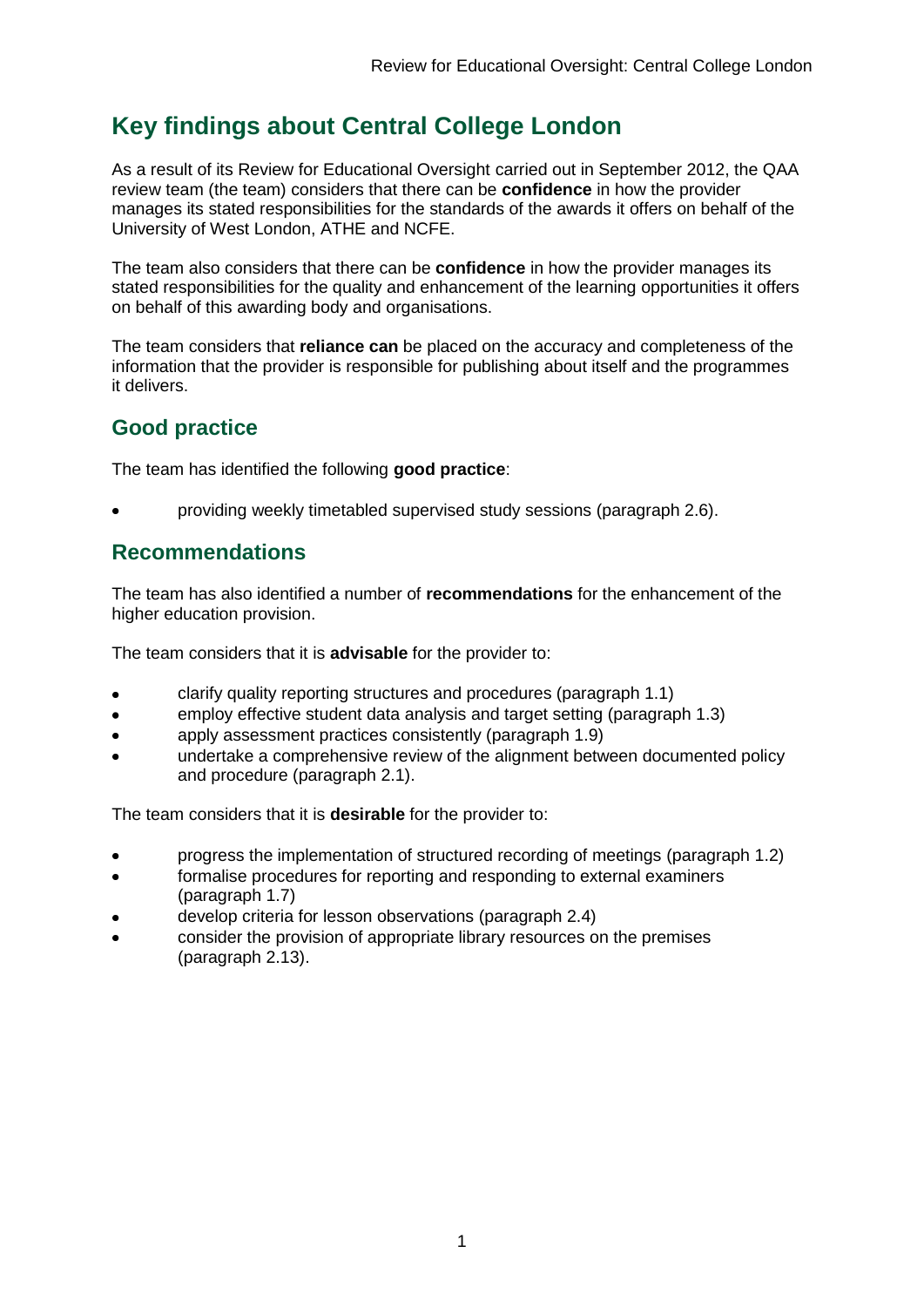# **Key findings about Central College London**

As a result of its Review for Educational Oversight carried out in September 2012, the QAA review team (the team) considers that there can be **confidence** in how the provider manages its stated responsibilities for the standards of the awards it offers on behalf of the University of West London, ATHE and NCFE.

The team also considers that there can be **confidence** in how the provider manages its stated responsibilities for the quality and enhancement of the learning opportunities it offers on behalf of this awarding body and organisations.

The team considers that **reliance can** be placed on the accuracy and completeness of the information that the provider is responsible for publishing about itself and the programmes it delivers.

### **Good practice**

The team has identified the following **good practice**:

providing weekly timetabled supervised study sessions (paragraph 2.6).

### **Recommendations**

The team has also identified a number of **recommendations** for the enhancement of the higher education provision.

The team considers that it is **advisable** for the provider to:

- clarify quality reporting structures and procedures (paragraph 1.1)
- employ effective student data analysis and target setting (paragraph 1.3)  $\bullet$
- apply assessment practices consistently (paragraph 1.9)
- undertake a comprehensive review of the alignment between documented policy and procedure (paragraph 2.1).

The team considers that it is **desirable** for the provider to:

- progress the implementation of structured recording of meetings (paragraph 1.2)
- formalise procedures for reporting and responding to external examiners (paragraph 1.7)
- develop criteria for lesson observations (paragraph 2.4)
- consider the provision of appropriate library resources on the premises (paragraph 2.13).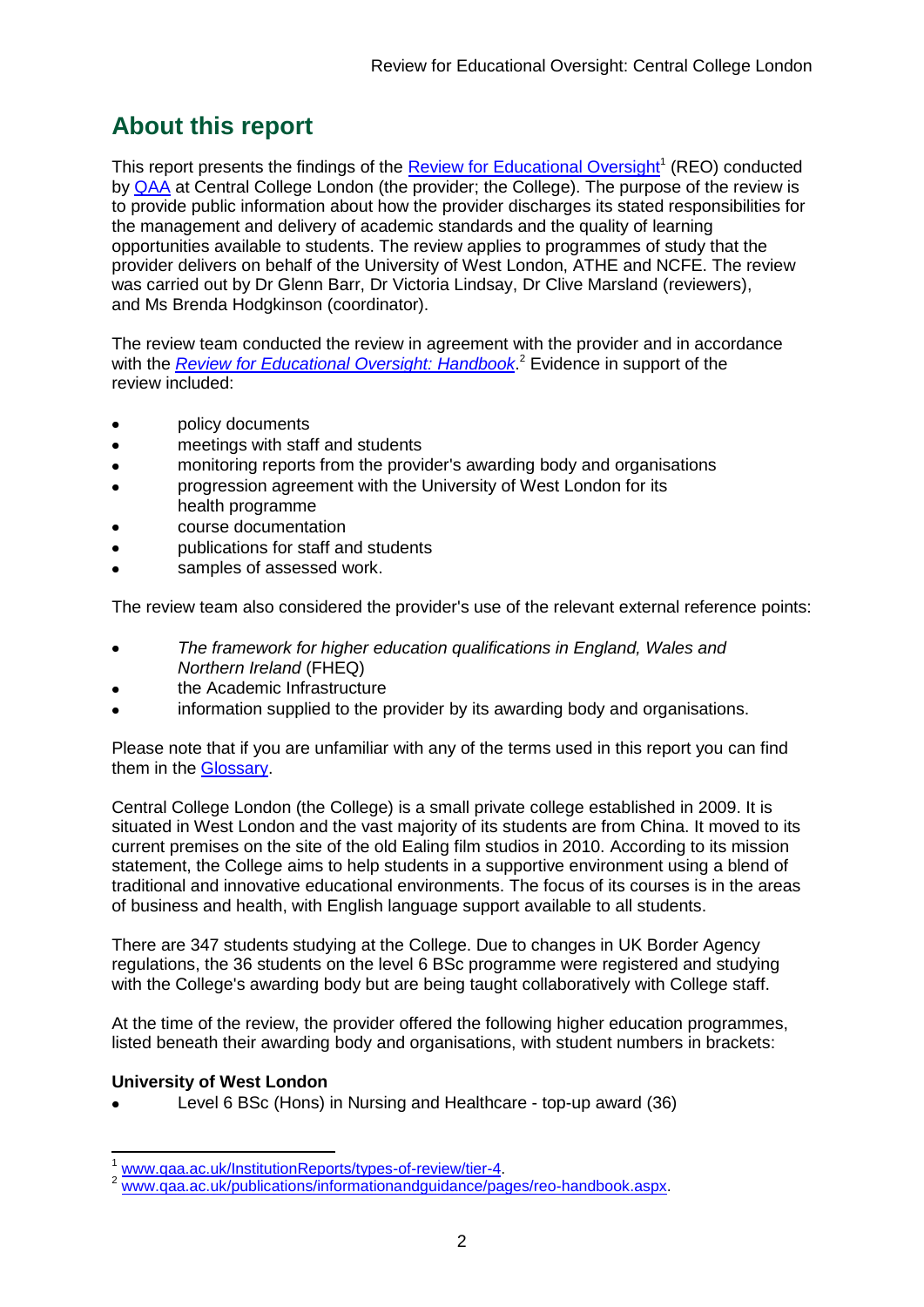# **About this report**

This report presents the findings of the **Review for Educational Oversight**<sup>1</sup> (REO) conducted by [QAA](#page-16-0) at Central College London (the provider; the College). The purpose of the review is to provide public information about how the provider discharges its stated responsibilities for the management and delivery of academic standards and the quality of learning opportunities available to students. The review applies to programmes of study that the provider delivers on behalf of the University of West London, ATHE and NCFE. The review was carried out by Dr Glenn Barr, Dr Victoria Lindsay, Dr Clive Marsland (reviewers), and Ms Brenda Hodgkinson (coordinator).

The review team conducted the review in agreement with the provider and in accordance with the *[Review for Educational Oversight:](http://www.qaa.ac.uk/Publications/InformationAndGuidance/Pages/REO-handbook.aspx) Handbook*. <sup>2</sup> Evidence in support of the review included:

- policy documents
- meetings with staff and students
- monitoring reports from the provider's awarding body and organisations
- progression agreement with the University of West London for its health programme
- course documentation
- publications for staff and students
- samples of assessed work.

The review team also considered the provider's use of the relevant external reference points:

- *The framework for higher education qualifications in England, Wales and Northern Ireland* (FHEQ)
- the Academic Infrastructure
- information supplied to the provider by its awarding body and organisations.

Please note that if you are unfamiliar with any of the terms used in this report you can find them in the [Glossary.](#page-16-1)

Central College London (the College) is a small private college established in 2009. It is situated in West London and the vast majority of its students are from China. It moved to its current premises on the site of the old Ealing film studios in 2010. According to its mission statement, the College aims to help students in a supportive environment using a blend of traditional and innovative educational environments. The focus of its courses is in the areas of business and health, with English language support available to all students.

There are 347 students studying at the College. Due to changes in UK Border Agency regulations, the 36 students on the level 6 BSc programme were registered and studying with the College's awarding body but are being taught collaboratively with College staff.

At the time of the review, the provider offered the following higher education programmes, listed beneath their awarding body and organisations, with student numbers in brackets:

#### **University of West London**

-

Level 6 BSc (Hons) in Nursing and Healthcare - top-up award (36)

www.gaa.ac.uk/InstitutionReports/types-of-review/tier-4.

www.gaa.ac.uk/publications/informationandguidance/pages/reo-handbook.aspx.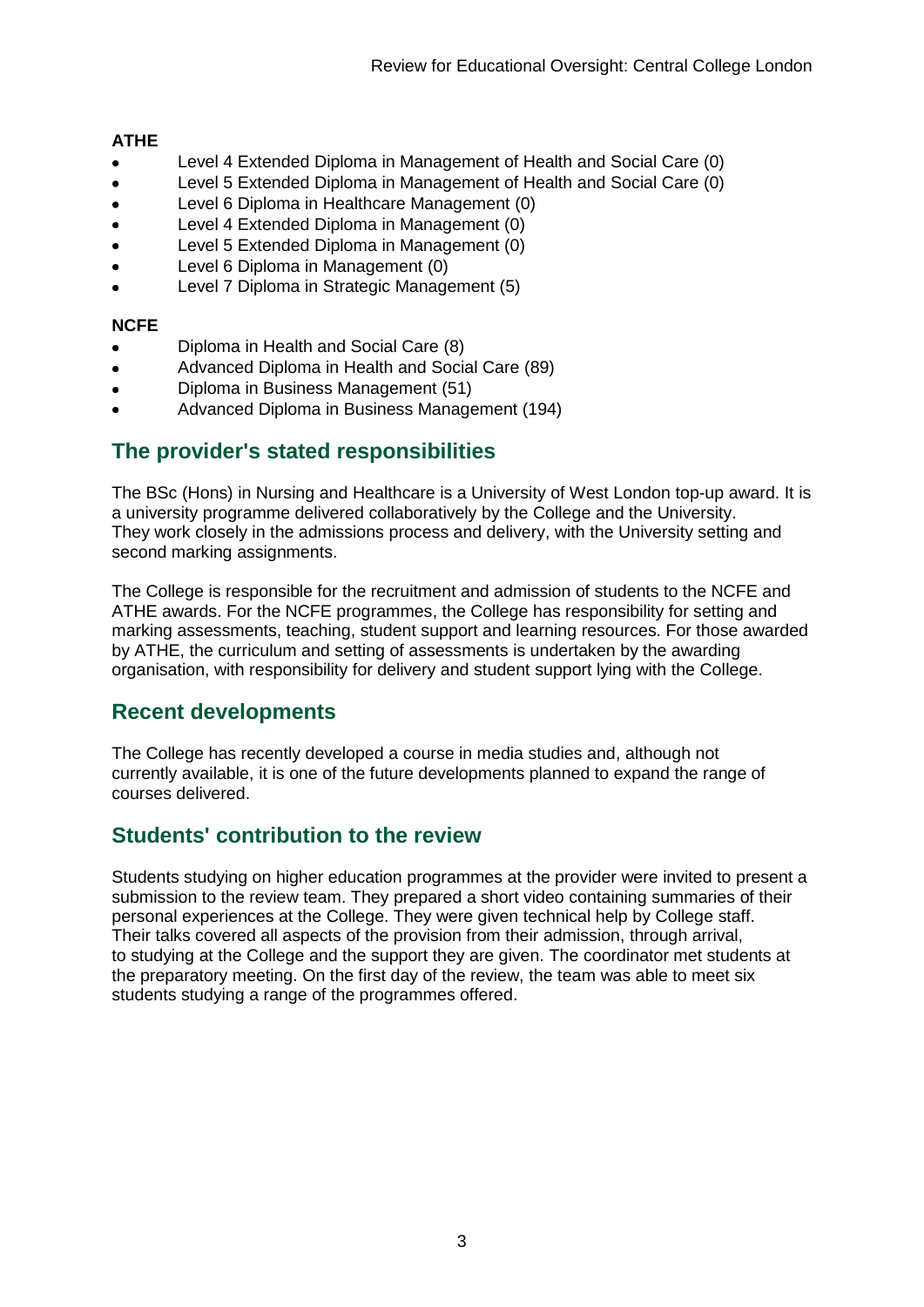#### **ATHE**

- Level 4 Extended Diploma in Management of Health and Social Care (0)
- Level 5 Extended Diploma in Management of Health and Social Care (0)  $\bullet$
- Level 6 Diploma in Healthcare Management (0)
- Level 4 Extended Diploma in Management (0)
- Level 5 Extended Diploma in Management (0)
- Level 6 Diploma in Management (0)
- Level 7 Diploma in Strategic Management (5)

#### **NCFE**

- Diploma in Health and Social Care (8)
- Advanced Diploma in Health and Social Care (89)
- Diploma in Business Management (51)
- Advanced Diploma in Business Management (194)

### **The provider's stated responsibilities**

The BSc (Hons) in Nursing and Healthcare is a University of West London top-up award. It is a university programme delivered collaboratively by the College and the University. They work closely in the admissions process and delivery, with the University setting and second marking assignments.

The College is responsible for the recruitment and admission of students to the NCFE and ATHE awards. For the NCFE programmes, the College has responsibility for setting and marking assessments, teaching, student support and learning resources. For those awarded by ATHE, the curriculum and setting of assessments is undertaken by the awarding organisation, with responsibility for delivery and student support lying with the College.

### **Recent developments**

The College has recently developed a course in media studies and, although not currently available, it is one of the future developments planned to expand the range of courses delivered.

### **Students' contribution to the review**

Students studying on higher education programmes at the provider were invited to present a submission to the review team. They prepared a short video containing summaries of their personal experiences at the College. They were given technical help by College staff. Their talks covered all aspects of the provision from their admission, through arrival, to studying at the College and the support they are given. The coordinator met students at the preparatory meeting. On the first day of the review, the team was able to meet six students studying a range of the programmes offered.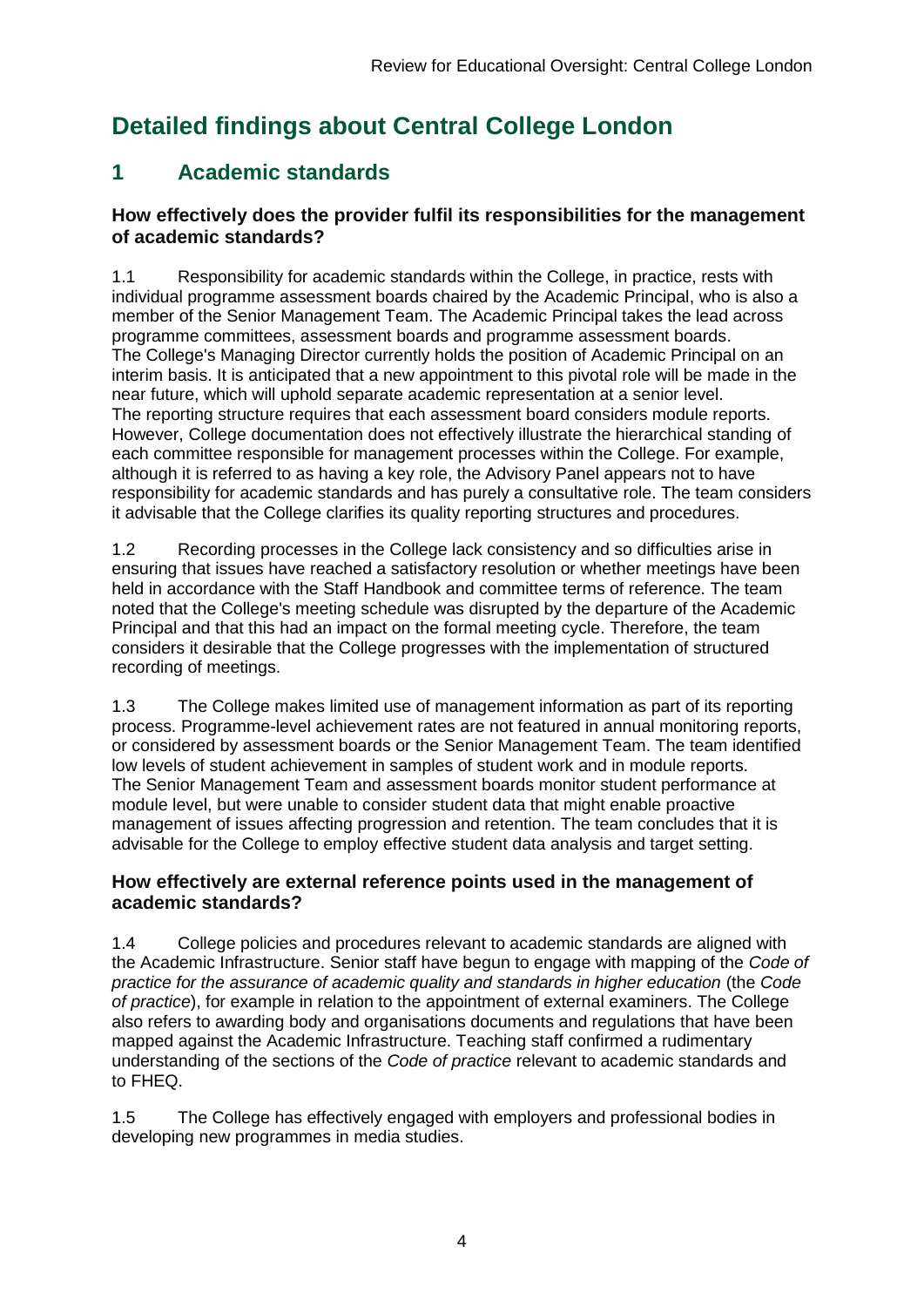# **Detailed findings about Central College London**

### **1 Academic standards**

#### **How effectively does the provider fulfil its responsibilities for the management of academic standards?**

1.1 Responsibility for academic standards within the College, in practice, rests with individual programme assessment boards chaired by the Academic Principal, who is also a member of the Senior Management Team. The Academic Principal takes the lead across programme committees, assessment boards and programme assessment boards. The College's Managing Director currently holds the position of Academic Principal on an interim basis. It is anticipated that a new appointment to this pivotal role will be made in the near future, which will uphold separate academic representation at a senior level. The reporting structure requires that each assessment board considers module reports. However, College documentation does not effectively illustrate the hierarchical standing of each committee responsible for management processes within the College. For example, although it is referred to as having a key role, the Advisory Panel appears not to have responsibility for academic standards and has purely a consultative role. The team considers it advisable that the College clarifies its quality reporting structures and procedures.

1.2 Recording processes in the College lack consistency and so difficulties arise in ensuring that issues have reached a satisfactory resolution or whether meetings have been held in accordance with the Staff Handbook and committee terms of reference. The team noted that the College's meeting schedule was disrupted by the departure of the Academic Principal and that this had an impact on the formal meeting cycle. Therefore, the team considers it desirable that the College progresses with the implementation of structured recording of meetings.

1.3 The College makes limited use of management information as part of its reporting process. Programme-level achievement rates are not featured in annual monitoring reports, or considered by assessment boards or the Senior Management Team. The team identified low levels of student achievement in samples of student work and in module reports. The Senior Management Team and assessment boards monitor student performance at module level, but were unable to consider student data that might enable proactive management of issues affecting progression and retention. The team concludes that it is advisable for the College to employ effective student data analysis and target setting.

#### **How effectively are external reference points used in the management of academic standards?**

1.4 College policies and procedures relevant to academic standards are aligned with the Academic Infrastructure. Senior staff have begun to engage with mapping of the *Code of practice for the assurance of academic quality and standards in higher education* (the *Code of practice*), for example in relation to the appointment of external examiners. The College also refers to awarding body and organisations documents and regulations that have been mapped against the Academic Infrastructure. Teaching staff confirmed a rudimentary understanding of the sections of the *Code of practice* relevant to academic standards and to FHEQ.

1.5 The College has effectively engaged with employers and professional bodies in developing new programmes in media studies.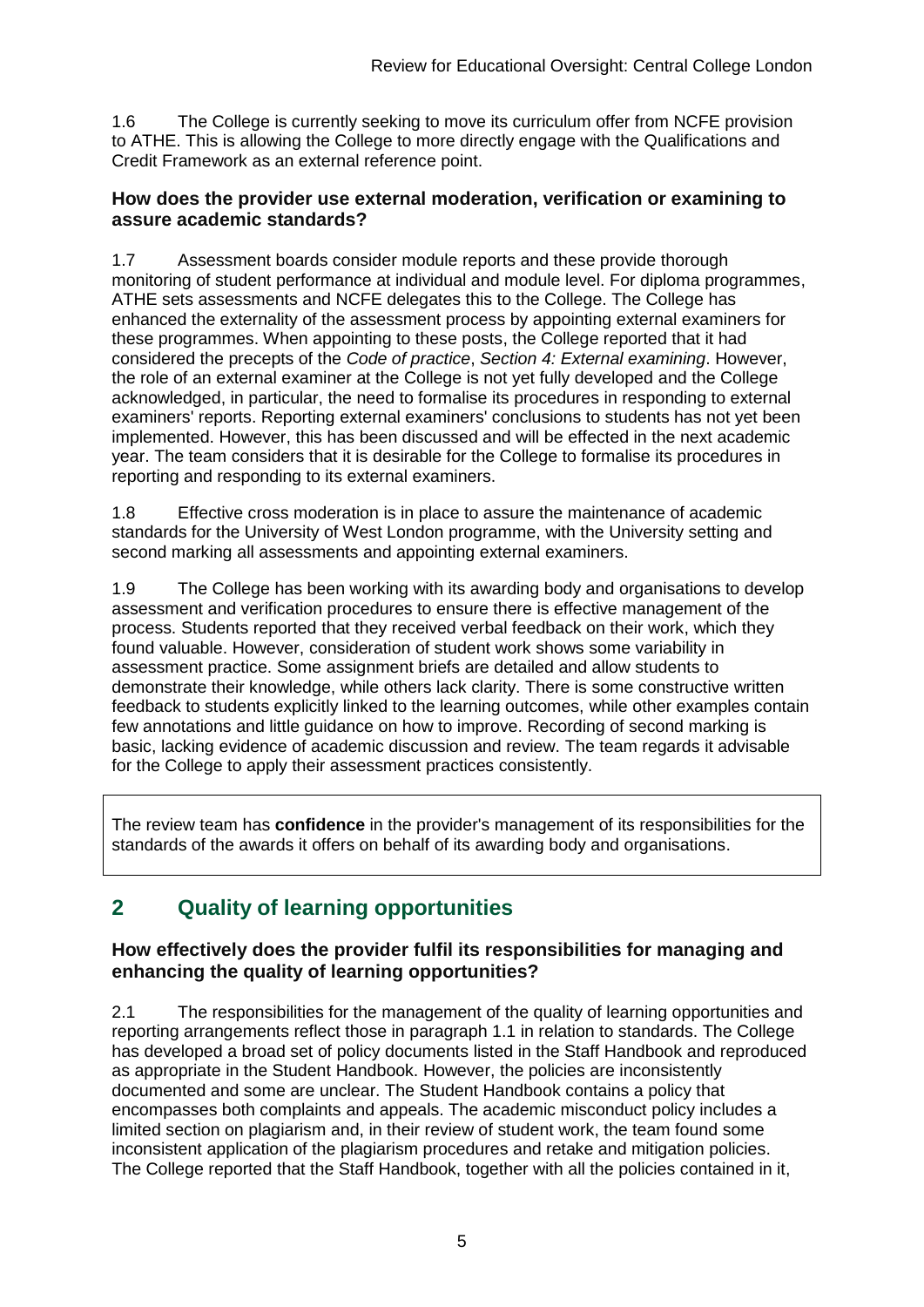1.6 The College is currently seeking to move its curriculum offer from NCFE provision to ATHE. This is allowing the College to more directly engage with the Qualifications and Credit Framework as an external reference point.

#### **How does the provider use external moderation, verification or examining to assure academic standards?**

1.7 Assessment boards consider module reports and these provide thorough monitoring of student performance at individual and module level. For diploma programmes, ATHE sets assessments and NCFE delegates this to the College. The College has enhanced the externality of the assessment process by appointing external examiners for these programmes. When appointing to these posts, the College reported that it had considered the precepts of the *Code of practice*, *Section 4: External examining*. However, the role of an external examiner at the College is not yet fully developed and the College acknowledged, in particular, the need to formalise its procedures in responding to external examiners' reports. Reporting external examiners' conclusions to students has not yet been implemented. However, this has been discussed and will be effected in the next academic year. The team considers that it is desirable for the College to formalise its procedures in reporting and responding to its external examiners.

1.8 Effective cross moderation is in place to assure the maintenance of academic standards for the University of West London programme, with the University setting and second marking all assessments and appointing external examiners.

1.9 The College has been working with its awarding body and organisations to develop assessment and verification procedures to ensure there is effective management of the process. Students reported that they received verbal feedback on their work, which they found valuable. However, consideration of student work shows some variability in assessment practice. Some assignment briefs are detailed and allow students to demonstrate their knowledge, while others lack clarity. There is some constructive written feedback to students explicitly linked to the learning outcomes, while other examples contain few annotations and little guidance on how to improve. Recording of second marking is basic, lacking evidence of academic discussion and review. The team regards it advisable for the College to apply their assessment practices consistently.

The review team has **confidence** in the provider's management of its responsibilities for the standards of the awards it offers on behalf of its awarding body and organisations.

## **2 Quality of learning opportunities**

#### **How effectively does the provider fulfil its responsibilities for managing and enhancing the quality of learning opportunities?**

2.1 The responsibilities for the management of the quality of learning opportunities and reporting arrangements reflect those in paragraph 1.1 in relation to standards. The College has developed a broad set of policy documents listed in the Staff Handbook and reproduced as appropriate in the Student Handbook. However, the policies are inconsistently documented and some are unclear. The Student Handbook contains a policy that encompasses both complaints and appeals. The academic misconduct policy includes a limited section on plagiarism and, in their review of student work, the team found some inconsistent application of the plagiarism procedures and retake and mitigation policies. The College reported that the Staff Handbook, together with all the policies contained in it,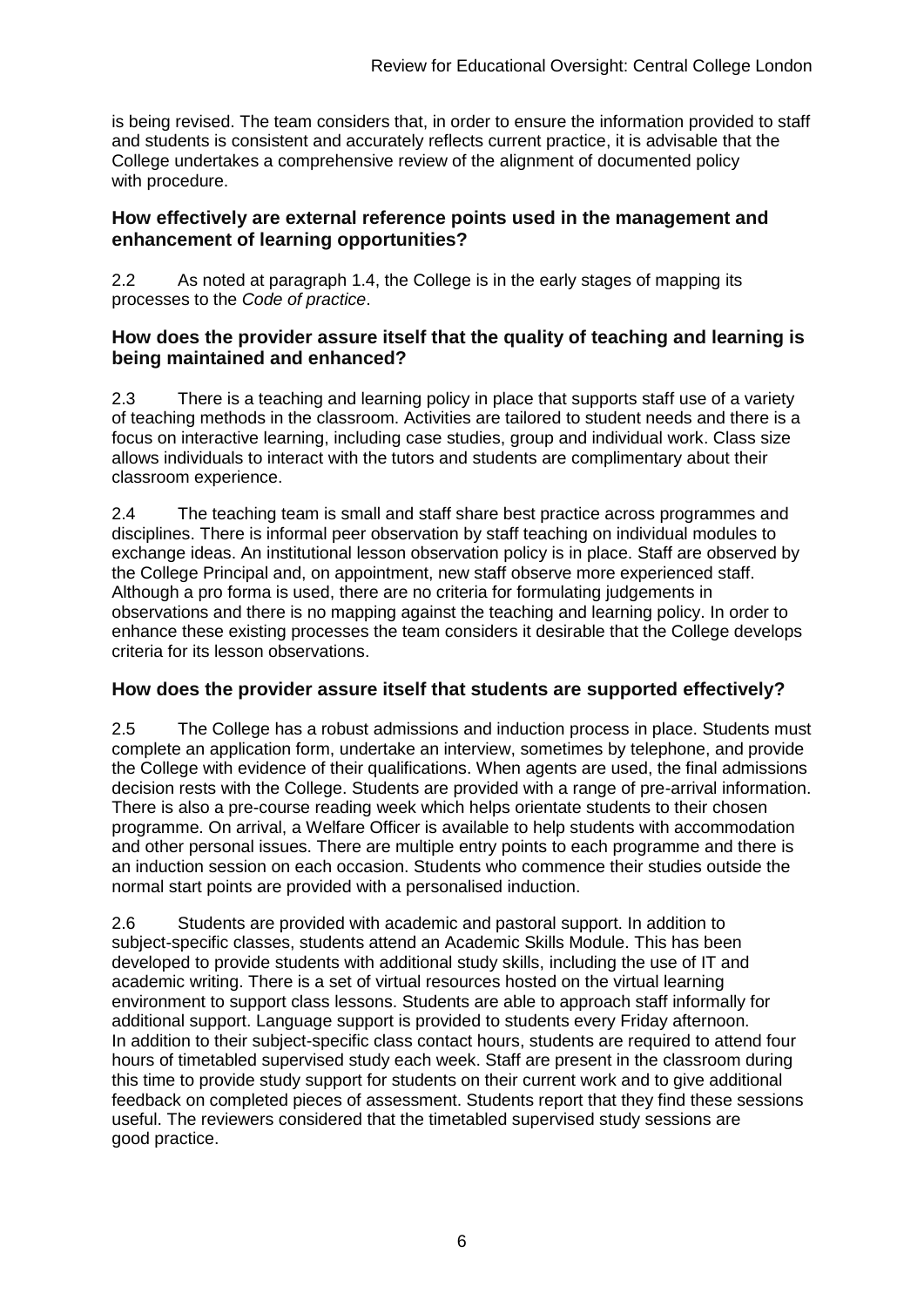is being revised. The team considers that, in order to ensure the information provided to staff and students is consistent and accurately reflects current practice, it is advisable that the College undertakes a comprehensive review of the alignment of documented policy with procedure.

#### **How effectively are external reference points used in the management and enhancement of learning opportunities?**

2.2 As noted at paragraph 1.4, the College is in the early stages of mapping its processes to the *Code of practice*.

#### **How does the provider assure itself that the quality of teaching and learning is being maintained and enhanced?**

2.3 There is a teaching and learning policy in place that supports staff use of a variety of teaching methods in the classroom. Activities are tailored to student needs and there is a focus on interactive learning, including case studies, group and individual work. Class size allows individuals to interact with the tutors and students are complimentary about their classroom experience.

2.4 The teaching team is small and staff share best practice across programmes and disciplines. There is informal peer observation by staff teaching on individual modules to exchange ideas. An institutional lesson observation policy is in place. Staff are observed by the College Principal and, on appointment, new staff observe more experienced staff. Although a pro forma is used, there are no criteria for formulating judgements in observations and there is no mapping against the teaching and learning policy. In order to enhance these existing processes the team considers it desirable that the College develops criteria for its lesson observations.

#### **How does the provider assure itself that students are supported effectively?**

2.5 The College has a robust admissions and induction process in place. Students must complete an application form, undertake an interview, sometimes by telephone, and provide the College with evidence of their qualifications. When agents are used, the final admissions decision rests with the College. Students are provided with a range of pre-arrival information. There is also a pre-course reading week which helps orientate students to their chosen programme. On arrival, a Welfare Officer is available to help students with accommodation and other personal issues. There are multiple entry points to each programme and there is an induction session on each occasion. Students who commence their studies outside the normal start points are provided with a personalised induction.

2.6 Students are provided with academic and pastoral support. In addition to subject-specific classes, students attend an Academic Skills Module. This has been developed to provide students with additional study skills, including the use of IT and academic writing. There is a set of virtual resources hosted on the virtual learning environment to support class lessons. Students are able to approach staff informally for additional support. Language support is provided to students every Friday afternoon. In addition to their subject-specific class contact hours, students are required to attend four hours of timetabled supervised study each week. Staff are present in the classroom during this time to provide study support for students on their current work and to give additional feedback on completed pieces of assessment. Students report that they find these sessions useful. The reviewers considered that the timetabled supervised study sessions are good practice.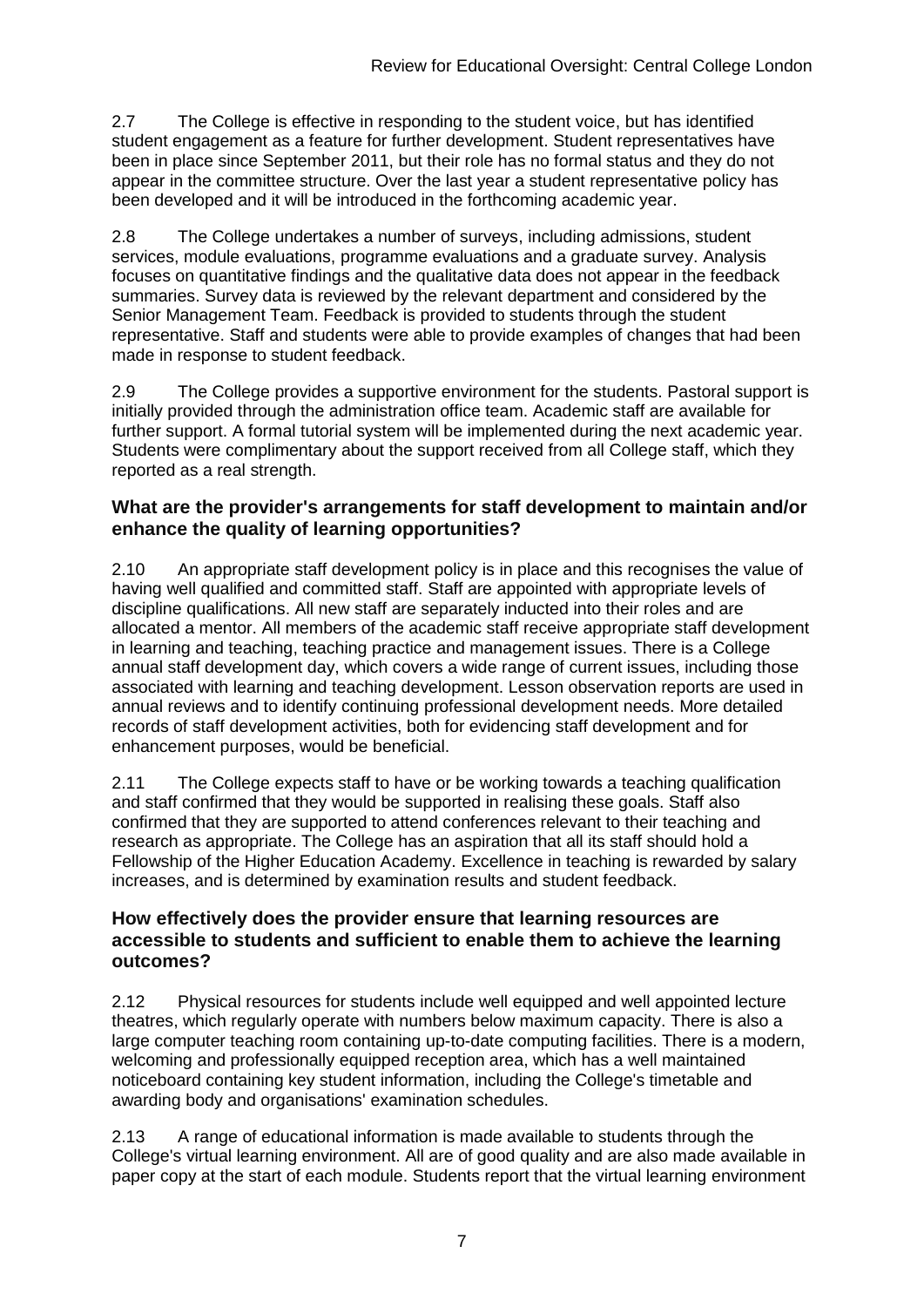2.7 The College is effective in responding to the student voice, but has identified student engagement as a feature for further development. Student representatives have been in place since September 2011, but their role has no formal status and they do not appear in the committee structure. Over the last year a student representative policy has been developed and it will be introduced in the forthcoming academic year.

2.8 The College undertakes a number of surveys, including admissions, student services, module evaluations, programme evaluations and a graduate survey. Analysis focuses on quantitative findings and the qualitative data does not appear in the feedback summaries. Survey data is reviewed by the relevant department and considered by the Senior Management Team. Feedback is provided to students through the student representative. Staff and students were able to provide examples of changes that had been made in response to student feedback.

2.9 The College provides a supportive environment for the students. Pastoral support is initially provided through the administration office team. Academic staff are available for further support. A formal tutorial system will be implemented during the next academic year. Students were complimentary about the support received from all College staff, which they reported as a real strength.

#### **What are the provider's arrangements for staff development to maintain and/or enhance the quality of learning opportunities?**

2.10 An appropriate staff development policy is in place and this recognises the value of having well qualified and committed staff. Staff are appointed with appropriate levels of discipline qualifications. All new staff are separately inducted into their roles and are allocated a mentor. All members of the academic staff receive appropriate staff development in learning and teaching, teaching practice and management issues. There is a College annual staff development day, which covers a wide range of current issues, including those associated with learning and teaching development. Lesson observation reports are used in annual reviews and to identify continuing professional development needs. More detailed records of staff development activities, both for evidencing staff development and for enhancement purposes, would be beneficial.

2.11 The College expects staff to have or be working towards a teaching qualification and staff confirmed that they would be supported in realising these goals. Staff also confirmed that they are supported to attend conferences relevant to their teaching and research as appropriate. The College has an aspiration that all its staff should hold a Fellowship of the Higher Education Academy. Excellence in teaching is rewarded by salary increases, and is determined by examination results and student feedback.

#### **How effectively does the provider ensure that learning resources are accessible to students and sufficient to enable them to achieve the learning outcomes?**

2.12 Physical resources for students include well equipped and well appointed lecture theatres, which regularly operate with numbers below maximum capacity. There is also a large computer teaching room containing up-to-date computing facilities. There is a modern, welcoming and professionally equipped reception area, which has a well maintained noticeboard containing key student information, including the College's timetable and awarding body and organisations' examination schedules.

2.13 A range of educational information is made available to students through the College's virtual learning environment. All are of good quality and are also made available in paper copy at the start of each module. Students report that the virtual learning environment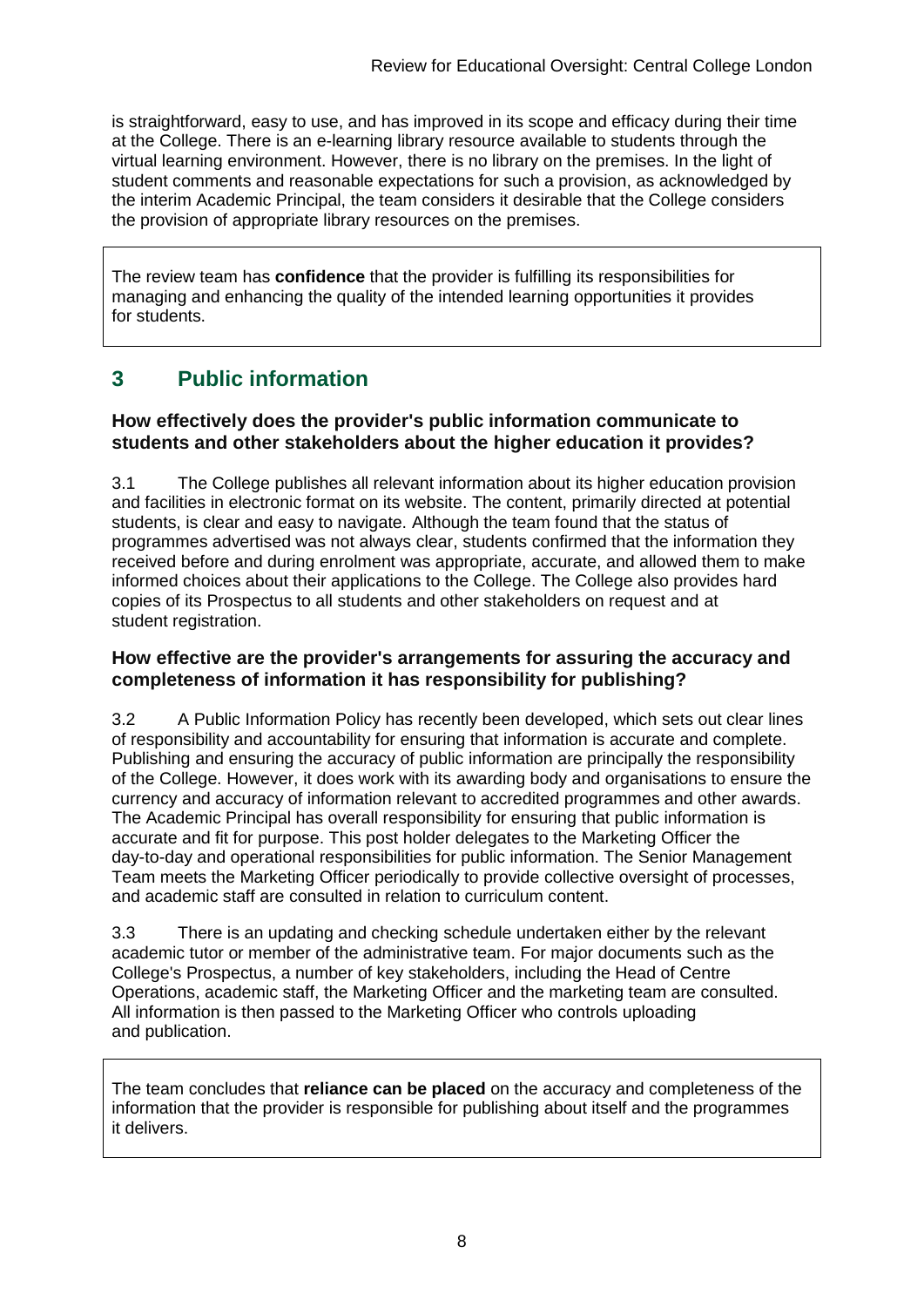is straightforward, easy to use, and has improved in its scope and efficacy during their time at the College. There is an e-learning library resource available to students through the virtual learning environment. However, there is no library on the premises. In the light of student comments and reasonable expectations for such a provision, as acknowledged by the interim Academic Principal, the team considers it desirable that the College considers the provision of appropriate library resources on the premises.

The review team has **confidence** that the provider is fulfilling its responsibilities for managing and enhancing the quality of the intended learning opportunities it provides for students.

### **3 Public information**

#### **How effectively does the provider's public information communicate to students and other stakeholders about the higher education it provides?**

3.1 The College publishes all relevant information about its higher education provision and facilities in electronic format on its website. The content, primarily directed at potential students, is clear and easy to navigate. Although the team found that the status of programmes advertised was not always clear, students confirmed that the information they received before and during enrolment was appropriate, accurate, and allowed them to make informed choices about their applications to the College. The College also provides hard copies of its Prospectus to all students and other stakeholders on request and at student registration.

#### **How effective are the provider's arrangements for assuring the accuracy and completeness of information it has responsibility for publishing?**

3.2 A Public Information Policy has recently been developed, which sets out clear lines of responsibility and accountability for ensuring that information is accurate and complete. Publishing and ensuring the accuracy of public information are principally the responsibility of the College. However, it does work with its awarding body and organisations to ensure the currency and accuracy of information relevant to accredited programmes and other awards. The Academic Principal has overall responsibility for ensuring that public information is accurate and fit for purpose. This post holder delegates to the Marketing Officer the day-to-day and operational responsibilities for public information. The Senior Management Team meets the Marketing Officer periodically to provide collective oversight of processes, and academic staff are consulted in relation to curriculum content.

3.3 There is an updating and checking schedule undertaken either by the relevant academic tutor or member of the administrative team. For major documents such as the College's Prospectus, a number of key stakeholders, including the Head of Centre Operations, academic staff, the Marketing Officer and the marketing team are consulted. All information is then passed to the Marketing Officer who controls uploading and publication.

The team concludes that **reliance can be placed** on the accuracy and completeness of the information that the provider is responsible for publishing about itself and the programmes it delivers.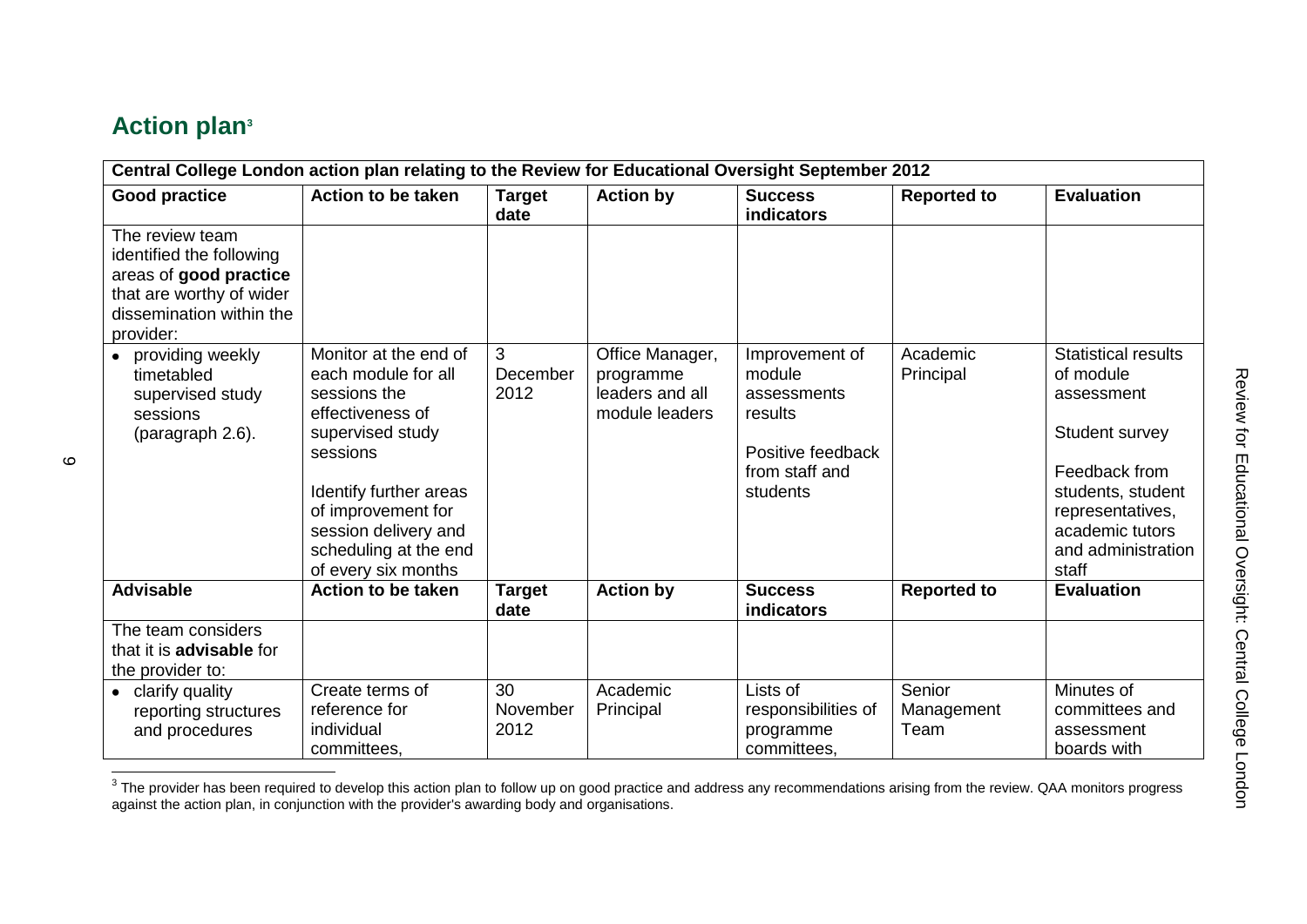# **Action plan<sup>3</sup>**

| Central College London action plan relating to the Review for Educational Oversight September 2012                                         |                                                                                                                                                                                                                                          |                        |                                                                   |                                                                                                       |                              |                                                                                                                                                                                     |
|--------------------------------------------------------------------------------------------------------------------------------------------|------------------------------------------------------------------------------------------------------------------------------------------------------------------------------------------------------------------------------------------|------------------------|-------------------------------------------------------------------|-------------------------------------------------------------------------------------------------------|------------------------------|-------------------------------------------------------------------------------------------------------------------------------------------------------------------------------------|
| <b>Good practice</b>                                                                                                                       | <b>Action to be taken</b>                                                                                                                                                                                                                | <b>Target</b><br>date  | <b>Action by</b>                                                  | <b>Success</b><br>indicators                                                                          | <b>Reported to</b>           | <b>Evaluation</b>                                                                                                                                                                   |
| The review team<br>identified the following<br>areas of good practice<br>that are worthy of wider<br>dissemination within the<br>provider: |                                                                                                                                                                                                                                          |                        |                                                                   |                                                                                                       |                              |                                                                                                                                                                                     |
| • providing weekly<br>timetabled<br>supervised study<br>sessions<br>(paragraph 2.6).                                                       | Monitor at the end of<br>each module for all<br>sessions the<br>effectiveness of<br>supervised study<br>sessions<br>Identify further areas<br>of improvement for<br>session delivery and<br>scheduling at the end<br>of every six months | 3<br>December<br>2012  | Office Manager,<br>programme<br>leaders and all<br>module leaders | Improvement of<br>module<br>assessments<br>results<br>Positive feedback<br>from staff and<br>students | Academic<br>Principal        | <b>Statistical results</b><br>of module<br>assessment<br>Student survey<br>Feedback from<br>students, student<br>representatives,<br>academic tutors<br>and administration<br>staff |
| <b>Advisable</b>                                                                                                                           | <b>Action to be taken</b>                                                                                                                                                                                                                | <b>Target</b><br>date  | <b>Action by</b>                                                  | <b>Success</b><br><b>indicators</b>                                                                   | <b>Reported to</b>           | <b>Evaluation</b>                                                                                                                                                                   |
| The team considers<br>that it is <b>advisable</b> for<br>the provider to:                                                                  |                                                                                                                                                                                                                                          |                        |                                                                   |                                                                                                       |                              |                                                                                                                                                                                     |
| • clarify quality<br>reporting structures<br>and procedures                                                                                | Create terms of<br>reference for<br>individual<br>committees,                                                                                                                                                                            | 30<br>November<br>2012 | Academic<br>Principal                                             | Lists of<br>responsibilities of<br>programme<br>committees.                                           | Senior<br>Management<br>Team | Minutes of<br>committees and<br>assessment<br>boards with                                                                                                                           |

The provider has been required to develop this action plan to follow up on good practice and address any recommendations arising from the review. QAA monitors progress<br>The provider has been required to develop this action against the action plan, in conjunction with the provider's awarding body and organisations.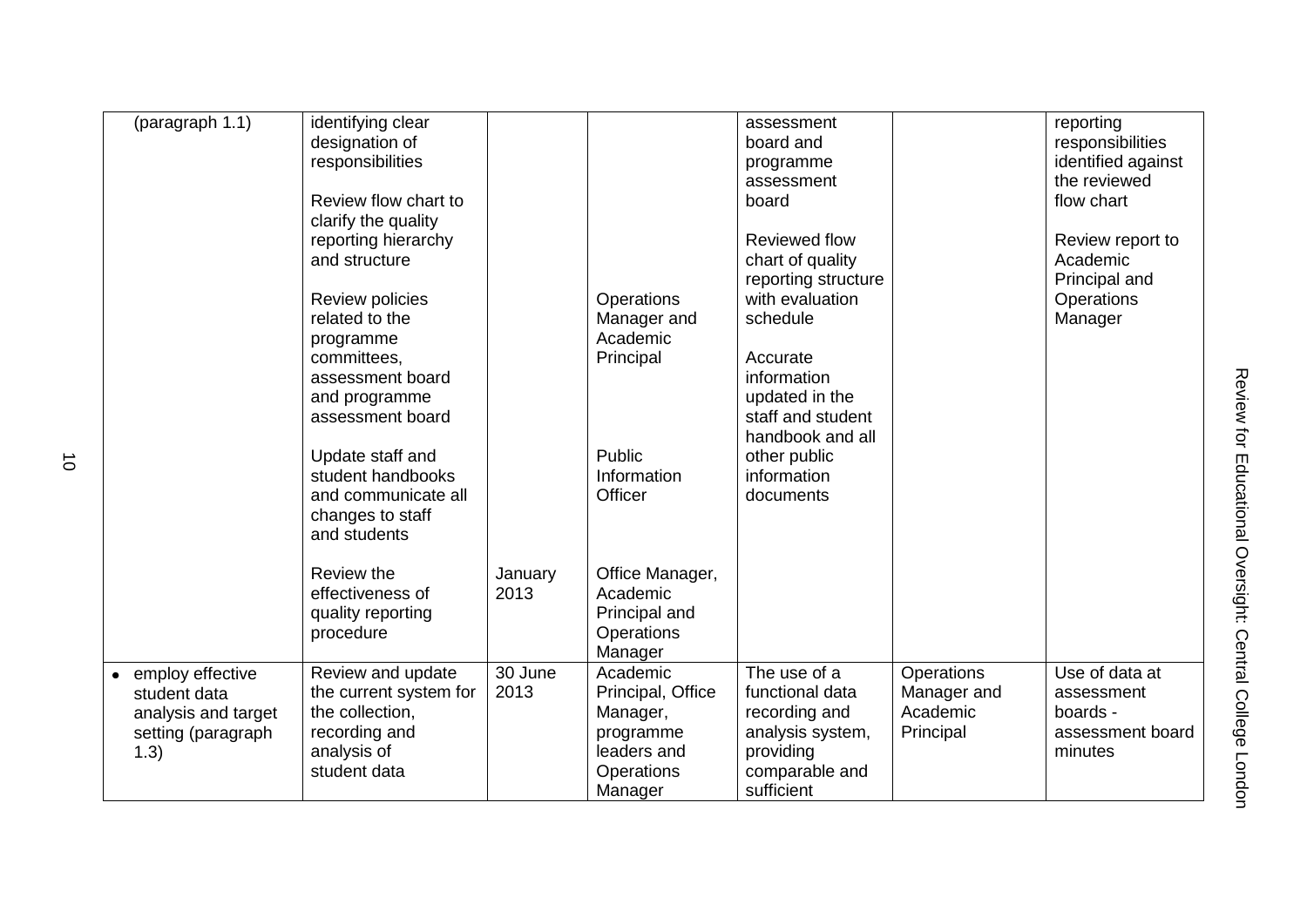| (paragraph 1.1)                                                                       | identifying clear<br>designation of<br>responsibilities<br>Review flow chart to<br>clarify the quality<br>reporting hierarchy<br>and structure<br>Review policies<br>related to the<br>programme<br>committees,<br>assessment board<br>and programme<br>assessment board<br>Update staff and<br>student handbooks<br>and communicate all<br>changes to staff<br>and students<br>Review the<br>effectiveness of | January<br>2013 | Operations<br>Manager and<br>Academic<br>Principal<br>Public<br>Information<br>Officer<br>Office Manager,<br>Academic | assessment<br>board and<br>programme<br>assessment<br>board<br><b>Reviewed flow</b><br>chart of quality<br>reporting structure<br>with evaluation<br>schedule<br>Accurate<br>information<br>updated in the<br>staff and student<br>handbook and all<br>other public<br>information<br>documents |                                                    | reporting<br>responsibilities<br>identified against<br>the reviewed<br>flow chart<br>Review report to<br>Academic<br>Principal and<br>Operations<br>Manager |
|---------------------------------------------------------------------------------------|----------------------------------------------------------------------------------------------------------------------------------------------------------------------------------------------------------------------------------------------------------------------------------------------------------------------------------------------------------------------------------------------------------------|-----------------|-----------------------------------------------------------------------------------------------------------------------|-------------------------------------------------------------------------------------------------------------------------------------------------------------------------------------------------------------------------------------------------------------------------------------------------|----------------------------------------------------|-------------------------------------------------------------------------------------------------------------------------------------------------------------|
|                                                                                       | quality reporting<br>procedure                                                                                                                                                                                                                                                                                                                                                                                 |                 | Principal and<br>Operations<br>Manager                                                                                |                                                                                                                                                                                                                                                                                                 |                                                    |                                                                                                                                                             |
| employ effective<br>student data<br>analysis and target<br>setting (paragraph<br>1.3) | Review and update<br>the current system for<br>the collection,<br>recording and<br>analysis of<br>student data                                                                                                                                                                                                                                                                                                 | 30 June<br>2013 | Academic<br>Principal, Office<br>Manager,<br>programme<br>leaders and<br>Operations<br>Manager                        | The use of a<br>functional data<br>recording and<br>analysis system,<br>providing<br>comparable and<br>sufficient                                                                                                                                                                               | Operations<br>Manager and<br>Academic<br>Principal | Use of data at<br>assessment<br>boards -<br>assessment board<br>minutes                                                                                     |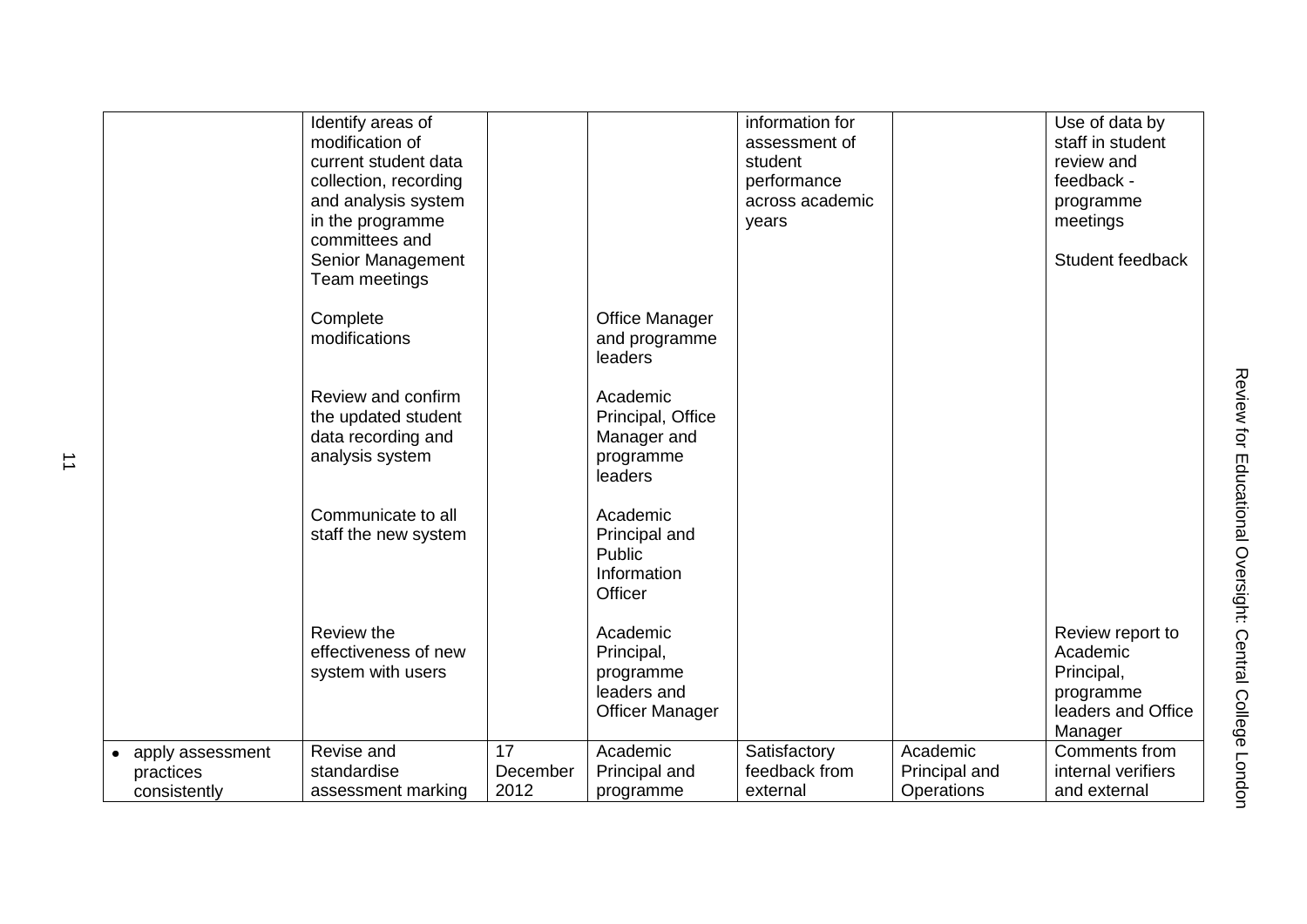|                                                            | Identify areas of<br>modification of<br>current student data<br>collection, recording<br>and analysis system<br>in the programme<br>committees and<br>Senior Management<br>Team meetings |                        |                                                                              | information for<br>assessment of<br>student<br>performance<br>across academic<br>years |                                         | Use of data by<br>staff in student<br>review and<br>feedback -<br>programme<br>meetings<br>Student feedback |
|------------------------------------------------------------|------------------------------------------------------------------------------------------------------------------------------------------------------------------------------------------|------------------------|------------------------------------------------------------------------------|----------------------------------------------------------------------------------------|-----------------------------------------|-------------------------------------------------------------------------------------------------------------|
|                                                            | Complete<br>modifications                                                                                                                                                                |                        | <b>Office Manager</b><br>and programme<br>leaders                            |                                                                                        |                                         |                                                                                                             |
|                                                            | Review and confirm<br>the updated student<br>data recording and<br>analysis system                                                                                                       |                        | Academic<br>Principal, Office<br>Manager and<br>programme<br>leaders         |                                                                                        |                                         |                                                                                                             |
|                                                            | Communicate to all<br>staff the new system                                                                                                                                               |                        | Academic<br>Principal and<br>Public<br>Information<br>Officer                |                                                                                        |                                         |                                                                                                             |
|                                                            | Review the<br>effectiveness of new<br>system with users                                                                                                                                  |                        | Academic<br>Principal,<br>programme<br>leaders and<br><b>Officer Manager</b> |                                                                                        |                                         | Review report to<br>Academic<br>Principal,<br>programme<br>leaders and Office<br>Manager                    |
| apply assessment<br>$\bullet$<br>practices<br>consistently | Revise and<br>standardise<br>assessment marking                                                                                                                                          | 17<br>December<br>2012 | Academic<br>Principal and<br>programme                                       | Satisfactory<br>feedback from<br>external                                              | Academic<br>Principal and<br>Operations | Comments from<br>internal verifiers<br>and external                                                         |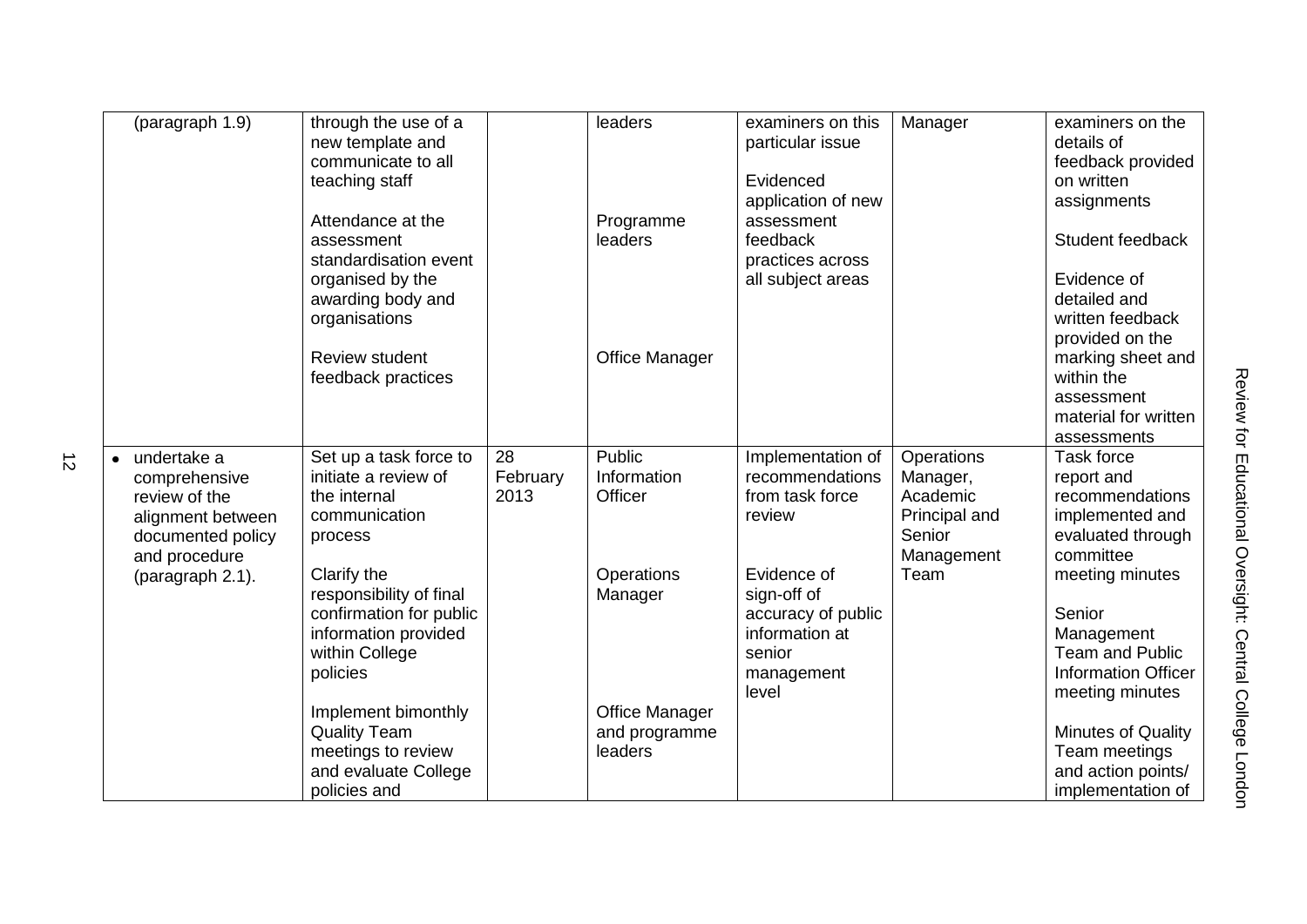| (paragraph $1.\overline{9}$ )                                                                            | through the use of a<br>new template and<br>communicate to all<br>teaching staff                                        |                        | leaders                                           | examiners on this<br>particular issue<br>Evidenced<br>application of new                   | Manager                                                                     | examiners on the<br>details of<br>feedback provided<br>on written<br>assignments                  |
|----------------------------------------------------------------------------------------------------------|-------------------------------------------------------------------------------------------------------------------------|------------------------|---------------------------------------------------|--------------------------------------------------------------------------------------------|-----------------------------------------------------------------------------|---------------------------------------------------------------------------------------------------|
|                                                                                                          | Attendance at the<br>assessment<br>standardisation event                                                                |                        | Programme<br>leaders                              | assessment<br>feedback<br>practices across                                                 |                                                                             | Student feedback                                                                                  |
|                                                                                                          | organised by the<br>awarding body and<br>organisations                                                                  |                        |                                                   | all subject areas                                                                          |                                                                             | Evidence of<br>detailed and<br>written feedback<br>provided on the                                |
|                                                                                                          | <b>Review student</b><br>feedback practices                                                                             |                        | Office Manager                                    |                                                                                            |                                                                             | marking sheet and<br>within the<br>assessment                                                     |
|                                                                                                          |                                                                                                                         |                        |                                                   |                                                                                            |                                                                             | material for written<br>assessments                                                               |
| undertake a<br>comprehensive<br>review of the<br>alignment between<br>documented policy<br>and procedure | Set up a task force to<br>initiate a review of<br>the internal<br>communication<br>process                              | 28<br>February<br>2013 | Public<br>Information<br>Officer                  | Implementation of<br>recommendations<br>from task force<br>review                          | Operations<br>Manager,<br>Academic<br>Principal and<br>Senior<br>Management | Task force<br>report and<br>recommendations<br>implemented and<br>evaluated through<br>committee  |
| (paragraph 2.1).                                                                                         | Clarify the<br>responsibility of final<br>confirmation for public<br>information provided<br>within College<br>policies |                        | Operations<br>Manager                             | Evidence of<br>sign-off of<br>accuracy of public<br>information at<br>senior<br>management | Team                                                                        | meeting minutes<br>Senior<br>Management<br><b>Team and Public</b><br><b>Information Officer</b>   |
|                                                                                                          | Implement bimonthly<br><b>Quality Team</b><br>meetings to review<br>and evaluate College<br>policies and                |                        | <b>Office Manager</b><br>and programme<br>leaders | level                                                                                      |                                                                             | meeting minutes<br>Minutes of Quality<br>Team meetings<br>and action points/<br>implementation of |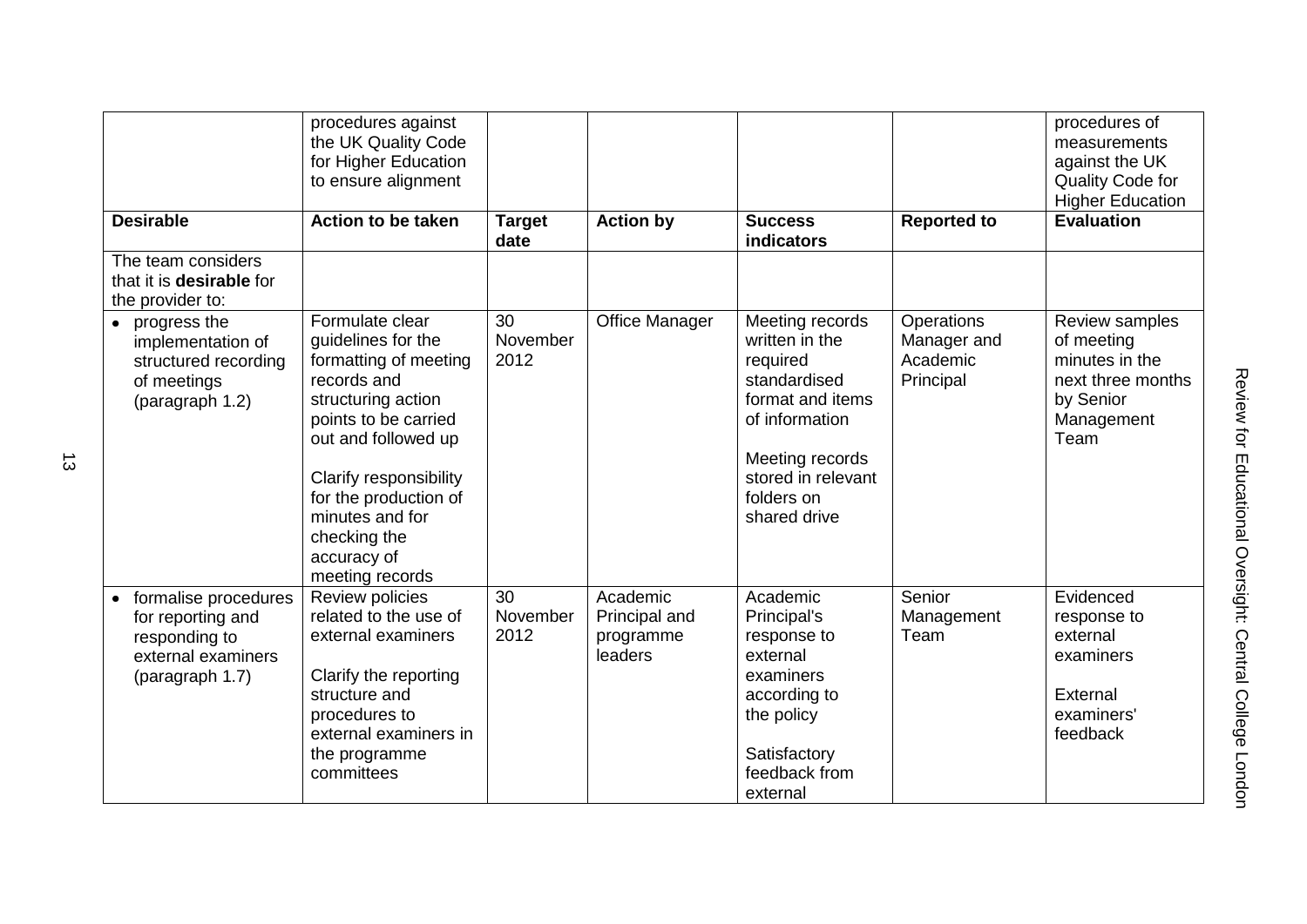|                                                                                                     | procedures against<br>the UK Quality Code<br>for Higher Education<br>to ensure alignment                                                                                                                                                                                   |                        |                                                   |                                                                                                                                                                            |                                                           | procedures of<br>measurements<br>against the UK<br>Quality Code for<br><b>Higher Education</b>         |
|-----------------------------------------------------------------------------------------------------|----------------------------------------------------------------------------------------------------------------------------------------------------------------------------------------------------------------------------------------------------------------------------|------------------------|---------------------------------------------------|----------------------------------------------------------------------------------------------------------------------------------------------------------------------------|-----------------------------------------------------------|--------------------------------------------------------------------------------------------------------|
| <b>Desirable</b>                                                                                    | <b>Action to be taken</b>                                                                                                                                                                                                                                                  | <b>Target</b><br>date  | <b>Action by</b>                                  | <b>Success</b><br>indicators                                                                                                                                               | <b>Reported to</b>                                        | <b>Evaluation</b>                                                                                      |
| The team considers<br>that it is <b>desirable</b> for<br>the provider to:                           |                                                                                                                                                                                                                                                                            |                        |                                                   |                                                                                                                                                                            |                                                           |                                                                                                        |
| • progress the<br>implementation of<br>structured recording<br>of meetings<br>(paragraph 1.2)       | Formulate clear<br>guidelines for the<br>formatting of meeting<br>records and<br>structuring action<br>points to be carried<br>out and followed up<br>Clarify responsibility<br>for the production of<br>minutes and for<br>checking the<br>accuracy of<br>meeting records | 30<br>November<br>2012 | Office Manager                                    | Meeting records<br>written in the<br>required<br>standardised<br>format and items<br>of information<br>Meeting records<br>stored in relevant<br>folders on<br>shared drive | <b>Operations</b><br>Manager and<br>Academic<br>Principal | Review samples<br>of meeting<br>minutes in the<br>next three months<br>by Senior<br>Management<br>Team |
| formalise procedures<br>for reporting and<br>responding to<br>external examiners<br>(paragraph 1.7) | Review policies<br>related to the use of<br>external examiners<br>Clarify the reporting<br>structure and<br>procedures to<br>external examiners in<br>the programme<br>committees                                                                                          | 30<br>November<br>2012 | Academic<br>Principal and<br>programme<br>leaders | Academic<br>Principal's<br>response to<br>external<br>examiners<br>according to<br>the policy<br>Satisfactory<br>feedback from<br>external                                 | Senior<br>Management<br>Team                              | Evidenced<br>response to<br>external<br>examiners<br>External<br>examiners'<br>feedback                |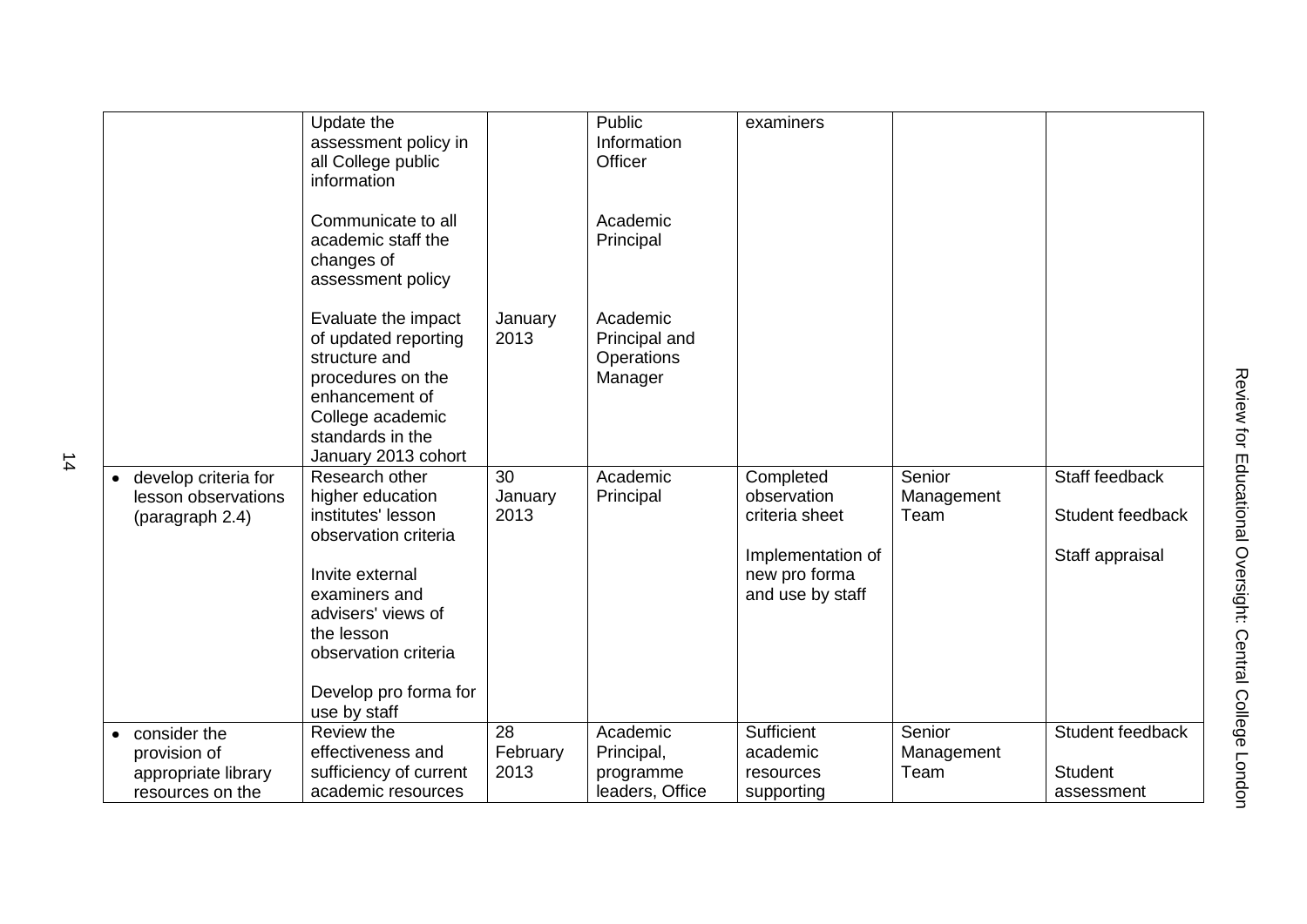| develop criteria for<br>lesson observations<br>(paragraph 2.4) | Update the<br>assessment policy in<br>all College public<br>information<br>Communicate to all<br>academic staff the<br>changes of<br>assessment policy<br>Evaluate the impact<br>of updated reporting<br>structure and<br>procedures on the<br>enhancement of<br>College academic<br>standards in the<br>January 2013 cohort<br>Research other<br>higher education<br>institutes' lesson<br>observation criteria<br>Invite external<br>examiners and<br>advisers' views of<br>the lesson<br>observation criteria<br>Develop pro forma for<br>use by staff | January<br>2013<br>30<br>January<br>2013 | Public<br>Information<br>Officer<br>Academic<br>Principal<br>Academic<br>Principal and<br>Operations<br>Manager<br>Academic<br>Principal | examiners<br>Completed<br>observation<br>criteria sheet<br>Implementation of<br>new pro forma<br>and use by staff | Senior<br>Management<br>Team | Staff feedback<br>Student feedback<br>Staff appraisal |
|----------------------------------------------------------------|-----------------------------------------------------------------------------------------------------------------------------------------------------------------------------------------------------------------------------------------------------------------------------------------------------------------------------------------------------------------------------------------------------------------------------------------------------------------------------------------------------------------------------------------------------------|------------------------------------------|------------------------------------------------------------------------------------------------------------------------------------------|-------------------------------------------------------------------------------------------------------------------|------------------------------|-------------------------------------------------------|
| consider the                                                   | Review the                                                                                                                                                                                                                                                                                                                                                                                                                                                                                                                                                | $\overline{28}$                          | Academic                                                                                                                                 | Sufficient                                                                                                        | Senior                       | Student feedback                                      |
| provision of                                                   | effectiveness and                                                                                                                                                                                                                                                                                                                                                                                                                                                                                                                                         | February                                 | Principal,                                                                                                                               | academic                                                                                                          | Management                   | <b>Student</b>                                        |
| appropriate library                                            | sufficiency of current<br>academic resources                                                                                                                                                                                                                                                                                                                                                                                                                                                                                                              | 2013                                     | programme                                                                                                                                | resources                                                                                                         | Team                         |                                                       |
| resources on the                                               |                                                                                                                                                                                                                                                                                                                                                                                                                                                                                                                                                           |                                          | leaders, Office                                                                                                                          | supporting                                                                                                        |                              | assessment                                            |

14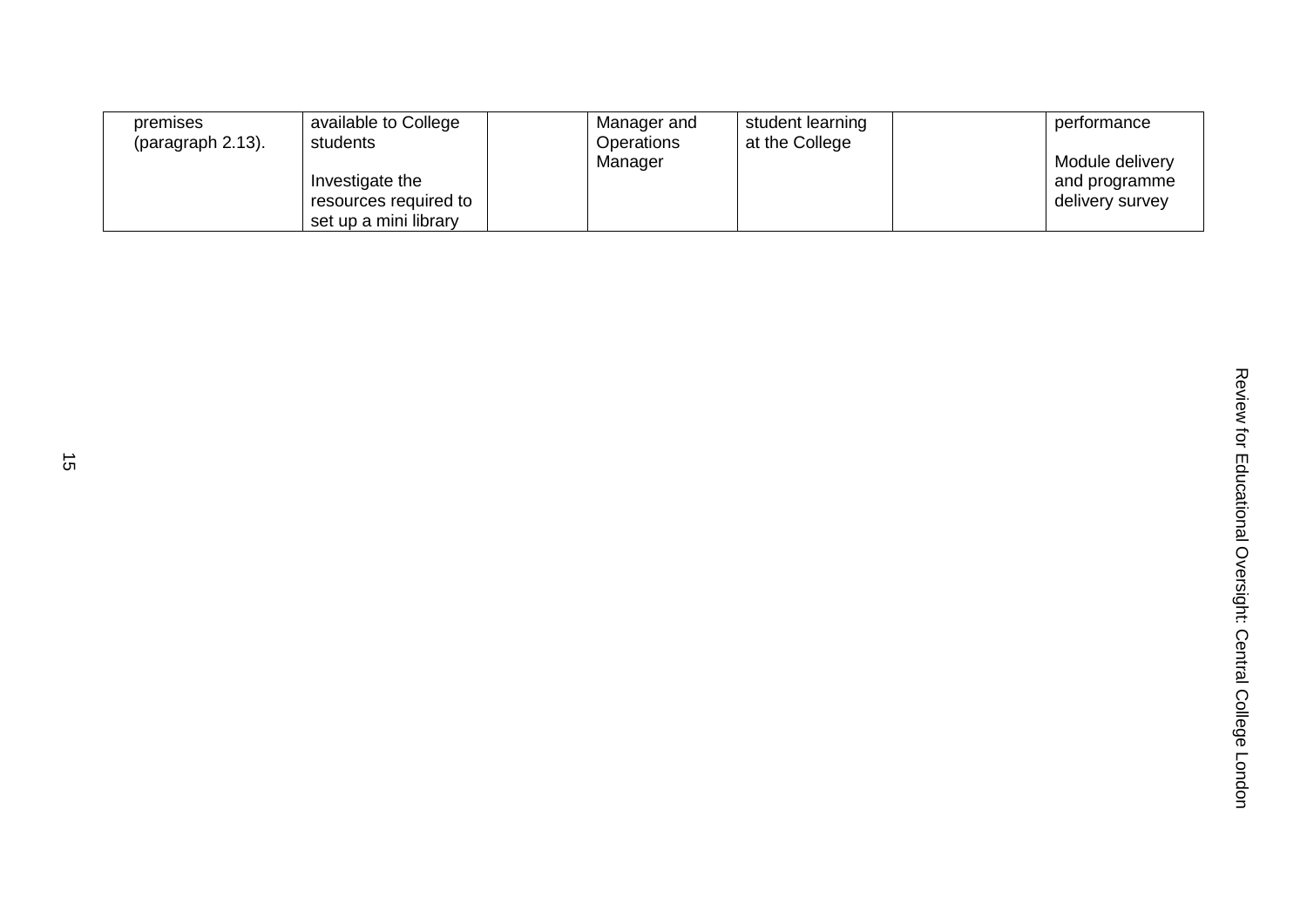| premises<br>(paragraph 2.13). | available to College<br>students                                  | Manager and<br>Operations<br>Manager | student learning<br>at the College | performance<br>Module delivery   |
|-------------------------------|-------------------------------------------------------------------|--------------------------------------|------------------------------------|----------------------------------|
|                               | Investigate the<br>resources required to<br>set up a mini library |                                      |                                    | and programme<br>delivery survey |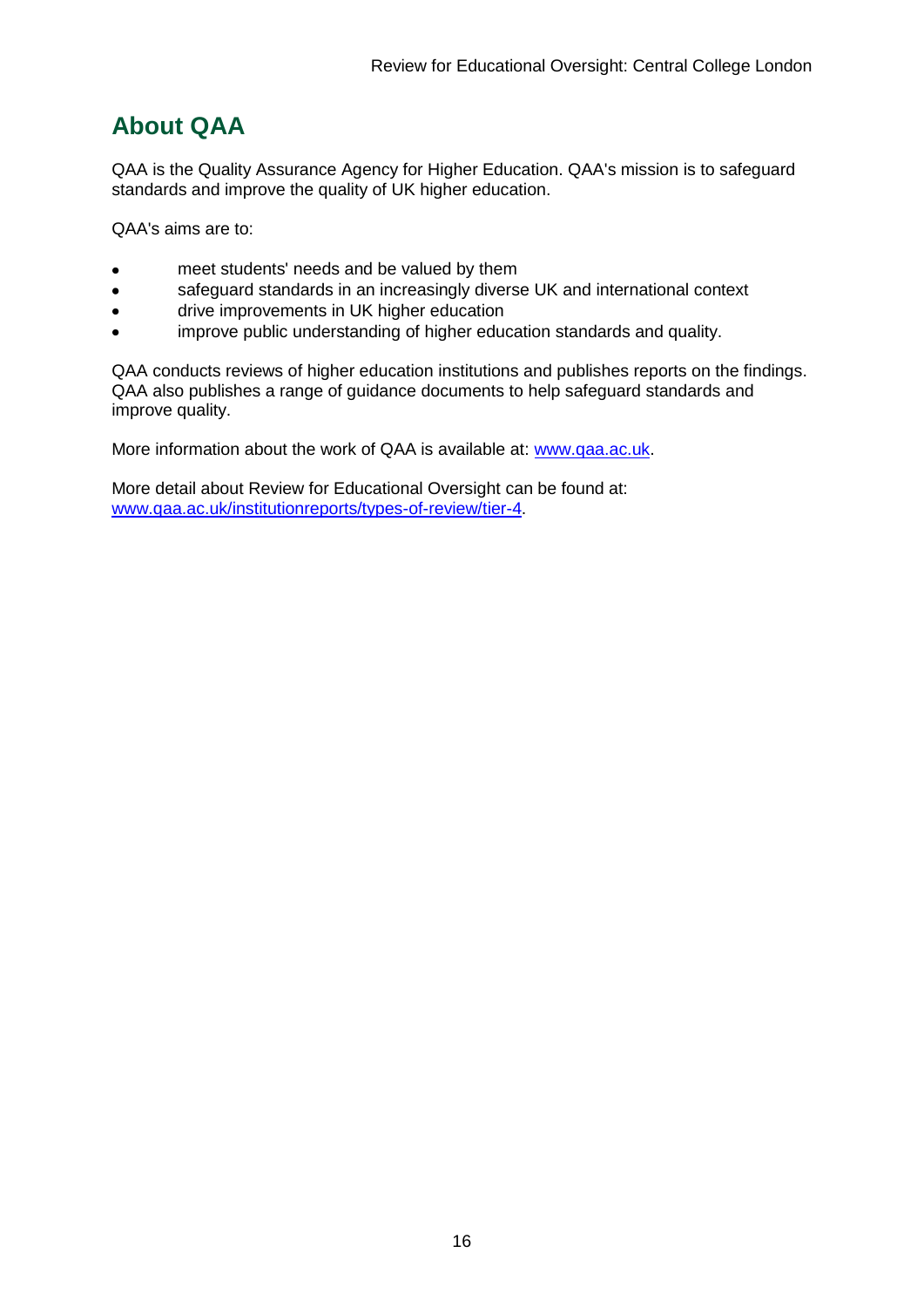# <span id="page-16-0"></span>**About QAA**

QAA is the Quality Assurance Agency for Higher Education. QAA's mission is to safeguard standards and improve the quality of UK higher education.

QAA's aims are to:

- meet students' needs and be valued by them
- safeguard standards in an increasingly diverse UK and international context  $\bullet$
- drive improvements in UK higher education  $\bullet$
- improve public understanding of higher education standards and quality.

QAA conducts reviews of higher education institutions and publishes reports on the findings. QAA also publishes a range of guidance documents to help safeguard standards and improve quality.

More information about the work of QAA is available at: [www.qaa.ac.uk.](http://www.qaa.ac.uk/)

<span id="page-16-1"></span>More detail about Review for Educational Oversight can be found at: [www.qaa.ac.uk/institutionreports/types-of-review/tier-4.](http://www.qaa.ac.uk/institutionreports/types-of-review/tier-4)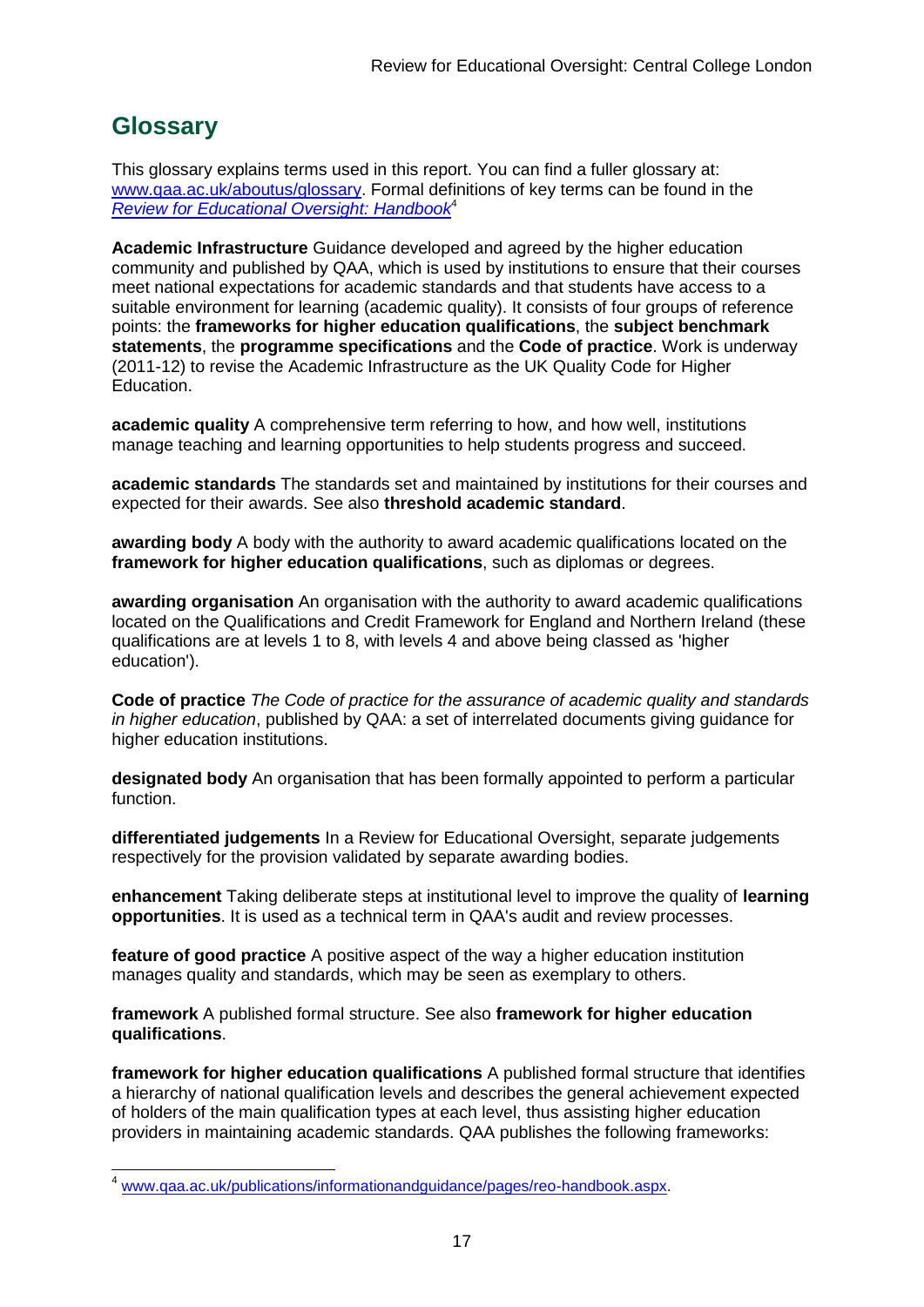# **Glossary**

This glossary explains terms used in this report. You can find a fuller glossary at: [www.qaa.ac.uk/aboutus/glossary.](http://www.qaa.ac.uk/aboutus/glossary) Formal definitions of key terms can be found in the *[Review for Educational Oversight: Handbook](http://www.qaa.ac.uk/Publications/InformationAndGuidance/Pages/REO-handbook.aspx)*<sup>4</sup>

**Academic Infrastructure** Guidance developed and agreed by the higher education community and published by QAA, which is used by institutions to ensure that their courses meet national expectations for academic standards and that students have access to a suitable environment for learning (academic quality). It consists of four groups of reference points: the **frameworks for higher education qualifications**, the **subject benchmark statements**, the **programme specifications** and the **[Code of practice](http://www.qaa.ac.uk/AboutUs/glossary/Pages/glossary-c.aspx#c2)**. Work is underway (2011-12) to revise the Academic Infrastructure as the UK [Quality Code](http://www.qaa.ac.uk/AboutUs/glossary/Pages/glossary-q.aspx#q5) for Higher Education.

**academic quality** A comprehensive term referring to how, and how well, institutions manage teaching and learning opportunities to help students progress and succeed.

**academic standards** The standards set and maintained by institutions for their courses and expected for their awards. See also **threshold academic standard**.

**awarding body** A body with the authority to award academic qualifications located on the **framework for higher education qualifications**, such as diplomas or degrees.

**awarding organisation** An organisation with the authority to award academic qualifications located on the Qualifications and Credit Framework for England and Northern Ireland (these qualifications are at levels 1 to 8, with levels 4 and above being classed as 'higher education').

**Code of practice** *The Code of practice for the assurance of academic quality and standards in higher education*, published by QAA: a set of interrelated documents giving guidance for higher education institutions.

**designated body** An organisation that has been formally appointed to perform a particular function.

**differentiated judgements** In a Review for Educational Oversight, separate judgements respectively for the provision validated by separate awarding bodies.

**enhancement** Taking deliberate steps at institutional level to improve the quality of **[learning](http://www.qaa.ac.uk/aboutus/glossary/pages/glossary-l.aspx#l1)  [opportunities](http://www.qaa.ac.uk/aboutus/glossary/pages/glossary-l.aspx#l1)**. It is used as a technical term in QAA's audit and review processes.

**feature of good practice** A positive aspect of the way a higher education institution manages quality and standards, which may be seen as exemplary to others.

**framework** A published formal structure. See also **framework for higher education qualifications**.

**framework for higher education qualifications** A published formal structure that identifies a hierarchy of national qualification levels and describes the general achievement expected of holders of the main qualification types at each level, thus assisting higher education providers in maintaining academic standards. QAA publishes the following frameworks:

[www.qaa.ac.uk/publications/informationandguidance/pages/reo-handbook.aspx.](http://www.qaa.ac.uk/publications/informationandguidance/pages/reo-handbook.aspx)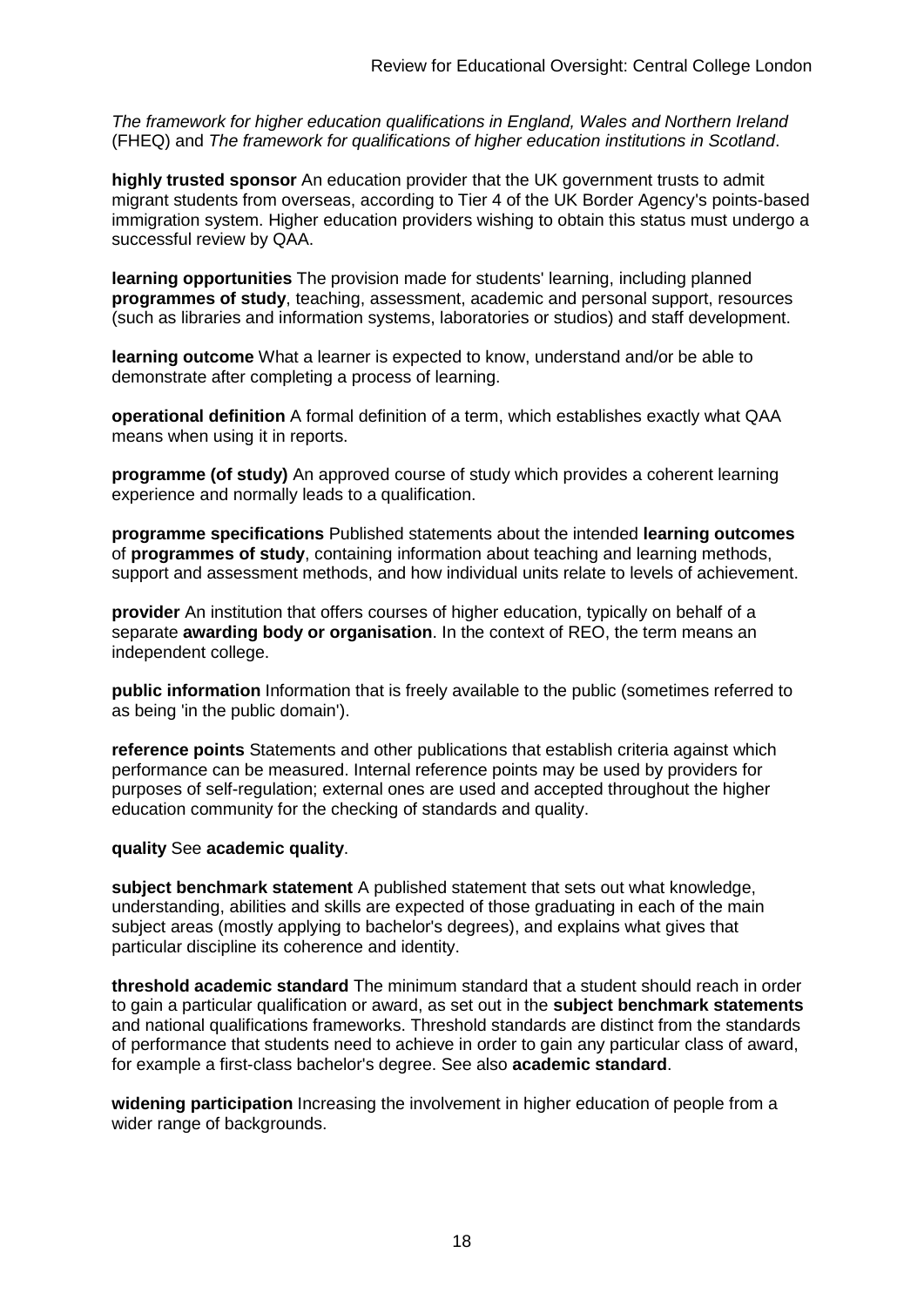*The framework for higher education qualifications in England, Wales and Northern Ireland* (FHEQ) and *The framework for qualifications of higher education institutions in Scotland*.

**highly trusted sponsor** An education provider that the UK government trusts to admit migrant students from overseas, according to Tier 4 of the UK Border Agency's points-based immigration system. Higher education providers wishing to obtain this status must undergo a successful review by QAA.

**learning opportunities** The provision made for students' learning, including planned **[programmes of study](http://newlive.qaa.ac.uk/aboutus/glossary/pages/glossary-p.aspx#p12)**, teaching, assessment, academic and personal support, resources (such as libraries and information systems, laboratories or studios) and staff development.

**learning outcome** What a learner is expected to know, understand and/or be able to demonstrate after completing a process of learning.

**operational definition** A formal definition of a term, which establishes exactly what QAA means when using it in reports.

**programme (of study)** An approved course of study which provides a coherent learning experience and normally leads to a qualification.

**programme specifications** Published statements about the intended **[learning outcomes](http://newlive.qaa.ac.uk/aboutus/glossary/pages/glossary-l.aspx#l2)** of **programmes of study**, containing information about teaching and learning methods, support and assessment methods, and how individual units relate to levels of achievement.

**provider** An institution that offers courses of higher education, typically on behalf of a separate **awarding body or organisation**. In the context of REO, the term means an independent college.

**public information** Information that is freely available to the public (sometimes referred to as being 'in the public domain').

**reference points** Statements and other publications that establish criteria against which performance can be measured. Internal reference points may be used by providers for purposes of self-regulation; external ones are used and accepted throughout the higher education community for the checking of standards and quality.

#### **quality** See **academic quality**.

**subject benchmark statement** A published statement that sets out what knowledge, understanding, abilities and skills are expected of those graduating in each of the main subject areas (mostly applying to [bachelor's degrees\)](http://newlive.qaa.ac.uk/aboutus/glossary/pages/glossary-b/aspx#b1), and explains what gives that particular discipline its coherence and identity.

**threshold academic standard** The minimum standard that a student should reach in order to gain a particular qualification or award, as set out in the **[subject benchmark statements](http://newlive.qaa.ac.uk/aboutus/glossary/pages/glossary-s.aspx#s7)** and national [qualifications frameworks.](http://newlive.qaa.ac.uk/aboutus/glossary/pages/glossary-q.aspx#q3) Threshold standards are distinct from the standards of performance that students need to achieve in order to gain any particular class of award, for example a first-class bachelor's degree. See also **[academic standard](http://newlive.qaa.ac.uk/aboutus/glossary/pages/glossary-a.aspx#a3)**.

**widening participation** Increasing the involvement in higher education of people from a wider range of backgrounds.